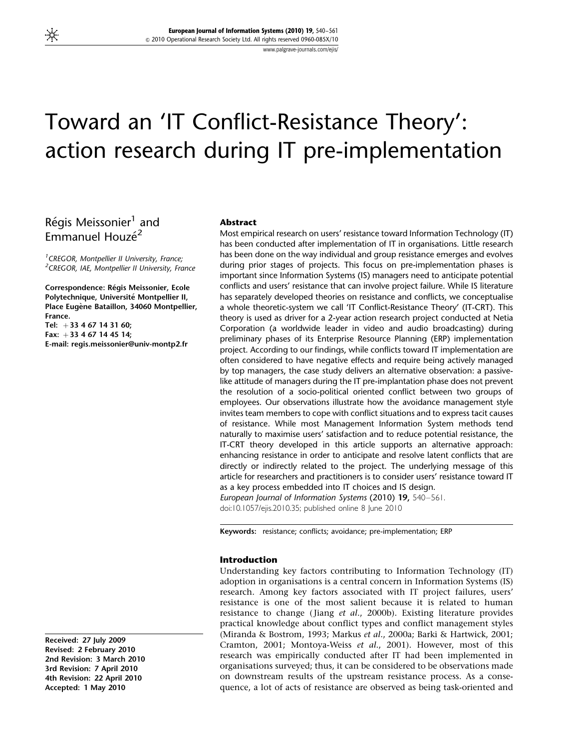# Toward an 'IT Conflict-Resistance Theory': action research during IT pre-implementation

# Régis Meissonier<sup>1</sup> and Emmanuel Houzé $^2$

<sup>1</sup> CREGOR, Montpellier II University, France; <sup>2</sup> CREGOR, IAE, Montpellier II University, France

Correspondence: Régis Meissonier, Ecole Polytechnique, Université Montpellier II, Place Eugène Bataillon, 34060 Montpellier, France.

Tel:  $+33$  4 67 14 31 60; Fax:  $+33$  4 67 14 45 14; E-mail: regis.meissonier@univ-montp2.fr

Received: 27 July 2009 Revised: 2 February 2010 2nd Revision: 3 March 2010 3rd Revision: 7 April 2010 4th Revision: 22 April 2010 Accepted: 1 May 2010

## Abstract

Most empirical research on users' resistance toward Information Technology (IT) has been conducted after implementation of IT in organisations. Little research has been done on the way individual and group resistance emerges and evolves during prior stages of projects. This focus on pre-implementation phases is important since Information Systems (IS) managers need to anticipate potential conflicts and users' resistance that can involve project failure. While IS literature has separately developed theories on resistance and conflicts, we conceptualise a whole theoretic-system we call 'IT Conflict-Resistance Theory' (IT-CRT). This theory is used as driver for a 2-year action research project conducted at Netia Corporation (a worldwide leader in video and audio broadcasting) during preliminary phases of its Enterprise Resource Planning (ERP) implementation project. According to our findings, while conflicts toward IT implementation are often considered to have negative effects and require being actively managed by top managers, the case study delivers an alternative observation: a passivelike attitude of managers during the IT pre-implantation phase does not prevent the resolution of a socio-political oriented conflict between two groups of employees. Our observations illustrate how the avoidance management style invites team members to cope with conflict situations and to express tacit causes of resistance. While most Management Information System methods tend naturally to maximise users' satisfaction and to reduce potential resistance, the IT-CRT theory developed in this article supports an alternative approach: enhancing resistance in order to anticipate and resolve latent conflicts that are directly or indirectly related to the project. The underlying message of this article for researchers and practitioners is to consider users' resistance toward IT as a key process embedded into IT choices and IS design. European Journal of Information Systems (2010) 19, 540–561.

doi:10.1057/ejis.2010.35; published online 8 June 2010

Keywords: resistance; conflicts; avoidance; pre-implementation; ERP

## Introduction

Understanding key factors contributing to Information Technology (IT) adoption in organisations is a central concern in Information Systems (IS) research. Among key factors associated with IT project failures, users' resistance is one of the most salient because it is related to human resistance to change (Jiang *et al.*, 2000b). Existing literature provides practical knowledge about conflict types and conflict management styles (Miranda & Bostrom, 1993; Markus et al., 2000a; Barki & Hartwick, 2001; Cramton, 2001; Montoya-Weiss et al., 2001). However, most of this research was empirically conducted after IT had been implemented in organisations surveyed; thus, it can be considered to be observations made on downstream results of the upstream resistance process. As a consequence, a lot of acts of resistance are observed as being task-oriented and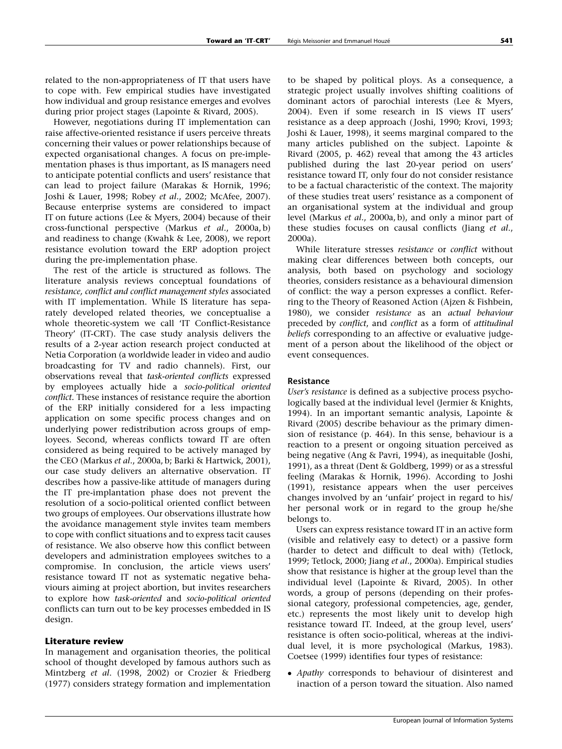related to the non-appropriateness of IT that users have to cope with. Few empirical studies have investigated how individual and group resistance emerges and evolves during prior project stages (Lapointe & Rivard, 2005).

However, negotiations during IT implementation can raise affective-oriented resistance if users perceive threats concerning their values or power relationships because of expected organisational changes. A focus on pre-implementation phases is thus important, as IS managers need to anticipate potential conflicts and users' resistance that can lead to project failure (Marakas & Hornik, 1996; Joshi & Lauer, 1998; Robey et al., 2002; McAfee, 2007). Because enterprise systems are considered to impact IT on future actions (Lee & Myers, 2004) because of their cross-functional perspective (Markus et al., 2000a, b) and readiness to change (Kwahk & Lee, 2008), we report resistance evolution toward the ERP adoption project during the pre-implementation phase.

The rest of the article is structured as follows. The literature analysis reviews conceptual foundations of resistance, conflict and conflict management styles associated with IT implementation. While IS literature has separately developed related theories, we conceptualise a whole theoretic-system we call 'IT Conflict-Resistance Theory' (IT-CRT). The case study analysis delivers the results of a 2-year action research project conducted at Netia Corporation (a worldwide leader in video and audio broadcasting for TV and radio channels). First, our observations reveal that task-oriented conflicts expressed by employees actually hide a socio-political oriented conflict. These instances of resistance require the abortion of the ERP initially considered for a less impacting application on some specific process changes and on underlying power redistribution across groups of employees. Second, whereas conflicts toward IT are often considered as being required to be actively managed by the CEO (Markus et al., 2000a, b; Barki & Hartwick, 2001), our case study delivers an alternative observation. IT describes how a passive-like attitude of managers during the IT pre-implantation phase does not prevent the resolution of a socio-political oriented conflict between two groups of employees. Our observations illustrate how the avoidance management style invites team members to cope with conflict situations and to express tacit causes of resistance. We also observe how this conflict between developers and administration employees switches to a compromise. In conclusion, the article views users' resistance toward IT not as systematic negative behaviours aiming at project abortion, but invites researchers to explore how task-oriented and socio-political oriented conflicts can turn out to be key processes embedded in IS design.

## Literature review

In management and organisation theories, the political school of thought developed by famous authors such as Mintzberg et al. (1998, 2002) or Crozier & Friedberg (1977) considers strategy formation and implementation to be shaped by political ploys. As a consequence, a strategic project usually involves shifting coalitions of dominant actors of parochial interests (Lee & Myers, 2004). Even if some research in IS views IT users' resistance as a deep approach ( Joshi, 1990; Krovi, 1993; Joshi & Lauer, 1998), it seems marginal compared to the many articles published on the subject. Lapointe & Rivard (2005, p. 462) reveal that among the 43 articles published during the last 20-year period on users' resistance toward IT, only four do not consider resistance to be a factual characteristic of the context. The majority of these studies treat users' resistance as a component of an organisational system at the individual and group level (Markus et al., 2000a, b), and only a minor part of these studies focuses on causal conflicts (Jiang et al., 2000a).

While literature stresses resistance or conflict without making clear differences between both concepts, our analysis, both based on psychology and sociology theories, considers resistance as a behavioural dimension of conflict: the way a person expresses a conflict. Referring to the Theory of Reasoned Action (Ajzen & Fishbein, 1980), we consider resistance as an actual behaviour preceded by conflict, and conflict as a form of attitudinal beliefs corresponding to an affective or evaluative judgement of a person about the likelihood of the object or event consequences.

#### Resistance

User's resistance is defined as a subjective process psychologically based at the individual level (Jermier & Knights, 1994). In an important semantic analysis, Lapointe & Rivard (2005) describe behaviour as the primary dimension of resistance (p. 464). In this sense, behaviour is a reaction to a present or ongoing situation perceived as being negative (Ang & Pavri, 1994), as inequitable (Joshi, 1991), as a threat (Dent & Goldberg, 1999) or as a stressful feeling (Marakas & Hornik, 1996). According to Joshi (1991), resistance appears when the user perceives changes involved by an 'unfair' project in regard to his/ her personal work or in regard to the group he/she belongs to.

Users can express resistance toward IT in an active form (visible and relatively easy to detect) or a passive form (harder to detect and difficult to deal with) (Tetlock, 1999; Tetlock, 2000; Jiang et al., 2000a). Empirical studies show that resistance is higher at the group level than the individual level (Lapointe & Rivard, 2005). In other words, a group of persons (depending on their professional category, professional competencies, age, gender, etc.) represents the most likely unit to develop high resistance toward IT. Indeed, at the group level, users' resistance is often socio-political, whereas at the individual level, it is more psychological (Markus, 1983). Coetsee (1999) identifies four types of resistance:

• Apathy corresponds to behaviour of disinterest and inaction of a person toward the situation. Also named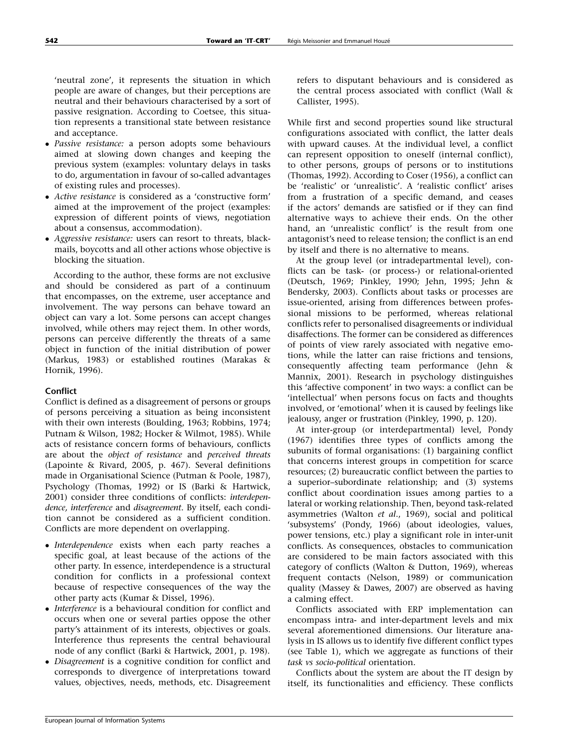'neutral zone', it represents the situation in which people are aware of changes, but their perceptions are neutral and their behaviours characterised by a sort of passive resignation. According to Coetsee, this situation represents a transitional state between resistance and acceptance.

- Passive resistance: a person adopts some behaviours aimed at slowing down changes and keeping the previous system (examples: voluntary delays in tasks to do, argumentation in favour of so-called advantages of existing rules and processes).
- Active resistance is considered as a 'constructive form' aimed at the improvement of the project (examples: expression of different points of views, negotiation about a consensus, accommodation).
- Aggressive resistance: users can resort to threats, blackmails, boycotts and all other actions whose objective is blocking the situation.

According to the author, these forms are not exclusive and should be considered as part of a continuum that encompasses, on the extreme, user acceptance and involvement. The way persons can behave toward an object can vary a lot. Some persons can accept changes involved, while others may reject them. In other words, persons can perceive differently the threats of a same object in function of the initial distribution of power (Markus, 1983) or established routines (Marakas & Hornik, 1996).

## Conflict

Conflict is defined as a disagreement of persons or groups of persons perceiving a situation as being inconsistent with their own interests (Boulding, 1963; Robbins, 1974; Putnam & Wilson, 1982; Hocker & Wilmot, 1985). While acts of resistance concern forms of behaviours, conflicts are about the object of resistance and perceived threats (Lapointe & Rivard, 2005, p. 467). Several definitions made in Organisational Science (Putman & Poole, 1987), Psychology (Thomas, 1992) or IS (Barki & Hartwick, 2001) consider three conditions of conflicts: interdependence, interference and disagreement. By itself, each condition cannot be considered as a sufficient condition. Conflicts are more dependent on overlapping.

- Interdependence exists when each party reaches a specific goal, at least because of the actions of the other party. In essence, interdependence is a structural condition for conflicts in a professional context because of respective consequences of the way the other party acts (Kumar & Dissel, 1996).
- *Interference* is a behavioural condition for conflict and occurs when one or several parties oppose the other party's attainment of its interests, objectives or goals. Interference thus represents the central behavioural node of any conflict (Barki & Hartwick, 2001, p. 198).
- *Disagreement* is a cognitive condition for conflict and corresponds to divergence of interpretations toward values, objectives, needs, methods, etc. Disagreement

refers to disputant behaviours and is considered as the central process associated with conflict (Wall & Callister, 1995).

While first and second properties sound like structural configurations associated with conflict, the latter deals with upward causes. At the individual level, a conflict can represent opposition to oneself (internal conflict), to other persons, groups of persons or to institutions (Thomas, 1992). According to Coser (1956), a conflict can be 'realistic' or 'unrealistic'. A 'realistic conflict' arises from a frustration of a specific demand, and ceases if the actors' demands are satisfied or if they can find alternative ways to achieve their ends. On the other hand, an 'unrealistic conflict' is the result from one antagonist's need to release tension; the conflict is an end by itself and there is no alternative to means.

At the group level (or intradepartmental level), conflicts can be task- (or process-) or relational-oriented (Deutsch, 1969; Pinkley, 1990; Jehn, 1995; Jehn & Bendersky, 2003). Conflicts about tasks or processes are issue-oriented, arising from differences between professional missions to be performed, whereas relational conflicts refer to personalised disagreements or individual disaffections. The former can be considered as differences of points of view rarely associated with negative emotions, while the latter can raise frictions and tensions, consequently affecting team performance (Jehn & Mannix, 2001). Research in psychology distinguishes this 'affective component' in two ways: a conflict can be 'intellectual' when persons focus on facts and thoughts involved, or 'emotional' when it is caused by feelings like jealousy, anger or frustration (Pinkley, 1990, p. 120).

At inter-group (or interdepartmental) level, Pondy (1967) identifies three types of conflicts among the subunits of formal organisations: (1) bargaining conflict that concerns interest groups in competition for scarce resources; (2) bureaucratic conflict between the parties to a superior–subordinate relationship; and (3) systems conflict about coordination issues among parties to a lateral or working relationship. Then, beyond task-related asymmetries (Walton et al., 1969), social and political 'subsystems' (Pondy, 1966) (about ideologies, values, power tensions, etc.) play a significant role in inter-unit conflicts. As consequences, obstacles to communication are considered to be main factors associated with this category of conflicts (Walton & Dutton, 1969), whereas frequent contacts (Nelson, 1989) or communication quality (Massey & Dawes, 2007) are observed as having a calming effect.

Conflicts associated with ERP implementation can encompass intra- and inter-department levels and mix several aforementioned dimensions. Our literature analysis in IS allows us to identify five different conflict types (see Table 1), which we aggregate as functions of their task vs socio-political orientation.

Conflicts about the system are about the IT design by itself, its functionalities and efficiency. These conflicts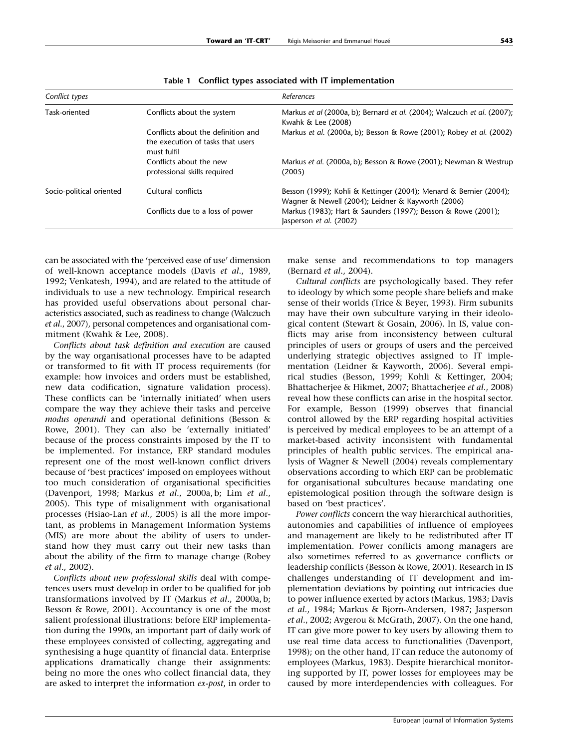| Conflict types           |                                                                                        | References                                                                                                             |
|--------------------------|----------------------------------------------------------------------------------------|------------------------------------------------------------------------------------------------------------------------|
| Task-oriented            | Conflicts about the system                                                             | Markus et al (2000a, b); Bernard et al. (2004); Walczuch et al. (2007);<br>Kwahk & Lee (2008)                          |
|                          | Conflicts about the definition and<br>the execution of tasks that users<br>must fulfil | Markus et al. (2000a, b); Besson & Rowe (2001); Robey et al. (2002)                                                    |
|                          | Conflicts about the new<br>professional skills required                                | Markus et al. (2000a, b); Besson & Rowe (2001); Newman & Westrup<br>(2005)                                             |
| Socio-political oriented | Cultural conflicts                                                                     | Besson (1999); Kohli & Kettinger (2004); Menard & Bernier (2004);<br>Wagner & Newell (2004); Leidner & Kayworth (2006) |
|                          | Conflicts due to a loss of power                                                       | Markus (1983); Hart & Saunders (1997); Besson & Rowe (2001);<br>Jasperson et al. (2002)                                |

Table 1 Conflict types associated with IT implementation

can be associated with the 'perceived ease of use' dimension of well-known acceptance models (Davis et al., 1989, 1992; Venkatesh, 1994), and are related to the attitude of individuals to use a new technology. Empirical research has provided useful observations about personal characteristics associated, such as readiness to change (Walczuch et al., 2007), personal competences and organisational commitment (Kwahk & Lee, 2008).

Conflicts about task definition and execution are caused by the way organisational processes have to be adapted or transformed to fit with IT process requirements (for example: how invoices and orders must be established, new data codification, signature validation process). These conflicts can be 'internally initiated' when users compare the way they achieve their tasks and perceive modus operandi and operational definitions (Besson & Rowe, 2001). They can also be 'externally initiated' because of the process constraints imposed by the IT to be implemented. For instance, ERP standard modules represent one of the most well-known conflict drivers because of 'best practices' imposed on employees without too much consideration of organisational specificities (Davenport, 1998; Markus et al., 2000a, b; Lim et al., 2005). This type of misalignment with organisational processes (Hsiao-Lan et al., 2005) is all the more important, as problems in Management Information Systems (MIS) are more about the ability of users to understand how they must carry out their new tasks than about the ability of the firm to manage change (Robey et al., 2002).

Conflicts about new professional skills deal with competences users must develop in order to be qualified for job transformations involved by IT (Markus et al., 2000a, b; Besson & Rowe, 2001). Accountancy is one of the most salient professional illustrations: before ERP implementation during the 1990s, an important part of daily work of these employees consisted of collecting, aggregating and synthesising a huge quantity of financial data. Enterprise applications dramatically change their assignments: being no more the ones who collect financial data, they are asked to interpret the information ex-post, in order to

make sense and recommendations to top managers (Bernard et al., 2004).

Cultural conflicts are psychologically based. They refer to ideology by which some people share beliefs and make sense of their worlds (Trice & Beyer, 1993). Firm subunits may have their own subculture varying in their ideological content (Stewart & Gosain, 2006). In IS, value conflicts may arise from inconsistency between cultural principles of users or groups of users and the perceived underlying strategic objectives assigned to IT implementation (Leidner & Kayworth, 2006). Several empirical studies (Besson, 1999; Kohli & Kettinger, 2004; Bhattacherjee & Hikmet, 2007; Bhattacherjee et al., 2008) reveal how these conflicts can arise in the hospital sector. For example, Besson (1999) observes that financial control allowed by the ERP regarding hospital activities is perceived by medical employees to be an attempt of a market-based activity inconsistent with fundamental principles of health public services. The empirical analysis of Wagner & Newell (2004) reveals complementary observations according to which ERP can be problematic for organisational subcultures because mandating one epistemological position through the software design is based on 'best practices'.

Power conflicts concern the way hierarchical authorities, autonomies and capabilities of influence of employees and management are likely to be redistributed after IT implementation. Power conflicts among managers are also sometimes referred to as governance conflicts or leadership conflicts (Besson & Rowe, 2001). Research in IS challenges understanding of IT development and implementation deviations by pointing out intricacies due to power influence exerted by actors (Markus, 1983; Davis et al., 1984; Markus & Bjorn-Andersen, 1987; Jasperson et al., 2002; Avgerou & McGrath, 2007). On the one hand, IT can give more power to key users by allowing them to use real time data access to functionalities (Davenport, 1998); on the other hand, IT can reduce the autonomy of employees (Markus, 1983). Despite hierarchical monitoring supported by IT, power losses for employees may be caused by more interdependencies with colleagues. For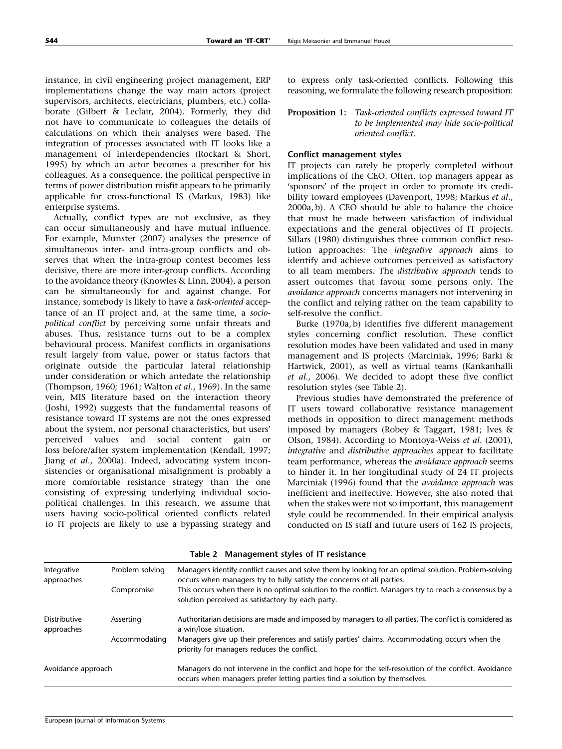instance, in civil engineering project management, ERP implementations change the way main actors (project supervisors, architects, electricians, plumbers, etc.) collaborate (Gilbert & Leclair, 2004). Formerly, they did not have to communicate to colleagues the details of calculations on which their analyses were based. The integration of processes associated with IT looks like a management of interdependencies (Rockart & Short, 1995) by which an actor becomes a prescriber for his colleagues. As a consequence, the political perspective in terms of power distribution misfit appears to be primarily applicable for cross-functional IS (Markus, 1983) like enterprise systems.

Actually, conflict types are not exclusive, as they can occur simultaneously and have mutual influence. For example, Munster (2007) analyses the presence of simultaneous inter- and intra-group conflicts and observes that when the intra-group contest becomes less decisive, there are more inter-group conflicts. According to the avoidance theory (Knowles & Linn, 2004), a person can be simultaneously for and against change. For instance, somebody is likely to have a task-oriented acceptance of an IT project and, at the same time, a sociopolitical conflict by perceiving some unfair threats and abuses. Thus, resistance turns out to be a complex behavioural process. Manifest conflicts in organisations result largely from value, power or status factors that originate outside the particular lateral relationship under consideration or which antedate the relationship (Thompson, 1960; 1961; Walton et al., 1969). In the same vein, MIS literature based on the interaction theory (Joshi, 1992) suggests that the fundamental reasons of resistance toward IT systems are not the ones expressed about the system, nor personal characteristics, but users' perceived values and social content gain or loss before/after system implementation (Kendall, 1997; Jiang et al., 2000a). Indeed, advocating system inconsistencies or organisational misalignment is probably a more comfortable resistance strategy than the one consisting of expressing underlying individual sociopolitical challenges. In this research, we assume that users having socio-political oriented conflicts related to IT projects are likely to use a bypassing strategy and to express only task-oriented conflicts. Following this reasoning, we formulate the following research proposition:

Proposition 1: Task-oriented conflicts expressed toward IT to be implemented may hide socio-political oriented conflict.

## Conflict management styles

IT projects can rarely be properly completed without implications of the CEO. Often, top managers appear as 'sponsors' of the project in order to promote its credibility toward employees (Davenport, 1998; Markus et al., 2000a, b). A CEO should be able to balance the choice that must be made between satisfaction of individual expectations and the general objectives of IT projects. Sillars (1980) distinguishes three common conflict resolution approaches: The integrative approach aims to identify and achieve outcomes perceived as satisfactory to all team members. The distributive approach tends to assert outcomes that favour some persons only. The avoidance approach concerns managers not intervening in the conflict and relying rather on the team capability to self-resolve the conflict.

Burke (1970a, b) identifies five different management styles concerning conflict resolution. These conflict resolution modes have been validated and used in many management and IS projects (Marciniak, 1996; Barki & Hartwick, 2001), as well as virtual teams (Kankanhalli et al., 2006). We decided to adopt these five conflict resolution styles (see Table 2).

Previous studies have demonstrated the preference of IT users toward collaborative resistance management methods in opposition to direct management methods imposed by managers (Robey & Taggart, 1981; Ives & Olson, 1984). According to Montoya-Weiss et al. (2001), integrative and distributive approaches appear to facilitate team performance, whereas the avoidance approach seems to hinder it. In her longitudinal study of 24 IT projects Marciniak (1996) found that the avoidance approach was inefficient and ineffective. However, she also noted that when the stakes were not so important, this management style could be recommended. In their empirical analysis conducted on IS staff and future users of 162 IS projects,

| Integrative<br>approaches         | Problem solving | Managers identify conflict causes and solve them by looking for an optimal solution. Problem-solving<br>occurs when managers try to fully satisfy the concerns of all parties.      |
|-----------------------------------|-----------------|-------------------------------------------------------------------------------------------------------------------------------------------------------------------------------------|
| Compromise                        |                 | This occurs when there is no optimal solution to the conflict. Managers try to reach a consensus by a<br>solution perceived as satisfactory by each party.                          |
| <b>Distributive</b><br>approaches | Asserting       | Authoritarian decisions are made and imposed by managers to all parties. The conflict is considered as<br>a win/lose situation.                                                     |
|                                   | Accommodating   | Managers give up their preferences and satisfy parties' claims. Accommodating occurs when the<br>priority for managers reduces the conflict.                                        |
| Avoidance approach                |                 | Managers do not intervene in the conflict and hope for the self-resolution of the conflict. Avoidance<br>occurs when managers prefer letting parties find a solution by themselves. |

Table 2 Management styles of IT resistance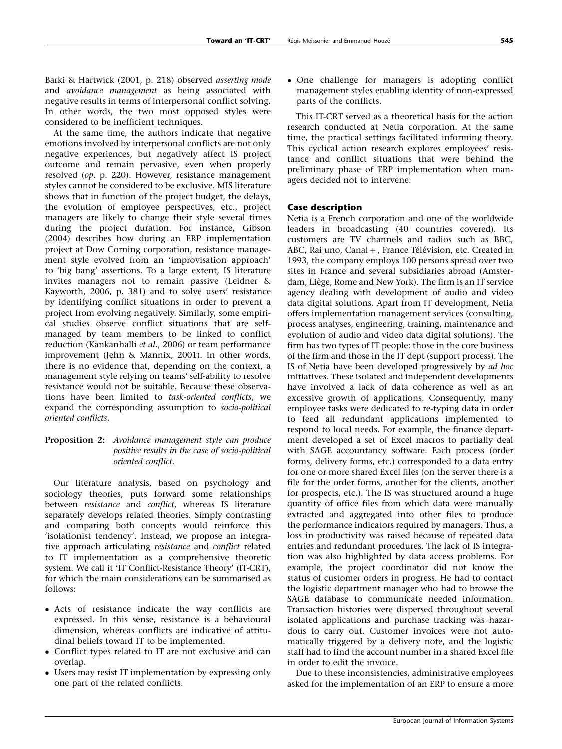Barki & Hartwick (2001, p. 218) observed asserting mode and avoidance management as being associated with negative results in terms of interpersonal conflict solving. In other words, the two most opposed styles were considered to be inefficient techniques.

At the same time, the authors indicate that negative emotions involved by interpersonal conflicts are not only negative experiences, but negatively affect IS project outcome and remain pervasive, even when properly resolved (op. p. 220). However, resistance management styles cannot be considered to be exclusive. MIS literature shows that in function of the project budget, the delays, the evolution of employee perspectives, etc., project managers are likely to change their style several times during the project duration. For instance, Gibson (2004) describes how during an ERP implementation project at Dow Corning corporation, resistance management style evolved from an 'improvisation approach' to 'big bang' assertions. To a large extent, IS literature invites managers not to remain passive (Leidner & Kayworth, 2006, p. 381) and to solve users' resistance by identifying conflict situations in order to prevent a project from evolving negatively. Similarly, some empirical studies observe conflict situations that are selfmanaged by team members to be linked to conflict reduction (Kankanhalli et al., 2006) or team performance improvement (Jehn & Mannix, 2001). In other words, there is no evidence that, depending on the context, a management style relying on teams' self-ability to resolve resistance would not be suitable. Because these observations have been limited to task-oriented conflicts, we expand the corresponding assumption to socio-political oriented conflicts.

## Proposition 2: Avoidance management style can produce positive results in the case of socio-political oriented conflict.

Our literature analysis, based on psychology and sociology theories, puts forward some relationships between resistance and conflict, whereas IS literature separately develops related theories. Simply contrasting and comparing both concepts would reinforce this 'isolationist tendency'. Instead, we propose an integrative approach articulating resistance and conflict related to IT implementation as a comprehensive theoretic system. We call it 'IT Conflict-Resistance Theory' (IT-CRT), for which the main considerations can be summarised as follows:

- Acts of resistance indicate the way conflicts are expressed. In this sense, resistance is a behavioural dimension, whereas conflicts are indicative of attitudinal beliefs toward IT to be implemented.
- Conflict types related to IT are not exclusive and can overlap.
- Users may resist IT implementation by expressing only one part of the related conflicts.

- One challenge for managers is adopting conflict management styles enabling identity of non-expressed parts of the conflicts.

This IT-CRT served as a theoretical basis for the action research conducted at Netia corporation. At the same time, the practical settings facilitated informing theory. This cyclical action research explores employees' resistance and conflict situations that were behind the preliminary phase of ERP implementation when managers decided not to intervene.

## Case description

Netia is a French corporation and one of the worldwide leaders in broadcasting (40 countries covered). Its customers are TV channels and radios such as BBC, ABC, Rai uno, Canal +, France Télévision, etc. Created in 1993, the company employs 100 persons spread over two sites in France and several subsidiaries abroad (Amsterdam, Liège, Rome and New York). The firm is an IT service agency dealing with development of audio and video data digital solutions. Apart from IT development, Netia offers implementation management services (consulting, process analyses, engineering, training, maintenance and evolution of audio and video data digital solutions). The firm has two types of IT people: those in the core business of the firm and those in the IT dept (support process). The IS of Netia have been developed progressively by ad hoc initiatives. These isolated and independent developments have involved a lack of data coherence as well as an excessive growth of applications. Consequently, many employee tasks were dedicated to re-typing data in order to feed all redundant applications implemented to respond to local needs. For example, the finance department developed a set of Excel macros to partially deal with SAGE accountancy software. Each process (order forms, delivery forms, etc.) corresponded to a data entry for one or more shared Excel files (on the server there is a file for the order forms, another for the clients, another for prospects, etc.). The IS was structured around a huge quantity of office files from which data were manually extracted and aggregated into other files to produce the performance indicators required by managers. Thus, a loss in productivity was raised because of repeated data entries and redundant procedures. The lack of IS integration was also highlighted by data access problems. For example, the project coordinator did not know the status of customer orders in progress. He had to contact the logistic department manager who had to browse the SAGE database to communicate needed information. Transaction histories were dispersed throughout several isolated applications and purchase tracking was hazardous to carry out. Customer invoices were not automatically triggered by a delivery note, and the logistic staff had to find the account number in a shared Excel file in order to edit the invoice.

Due to these inconsistencies, administrative employees asked for the implementation of an ERP to ensure a more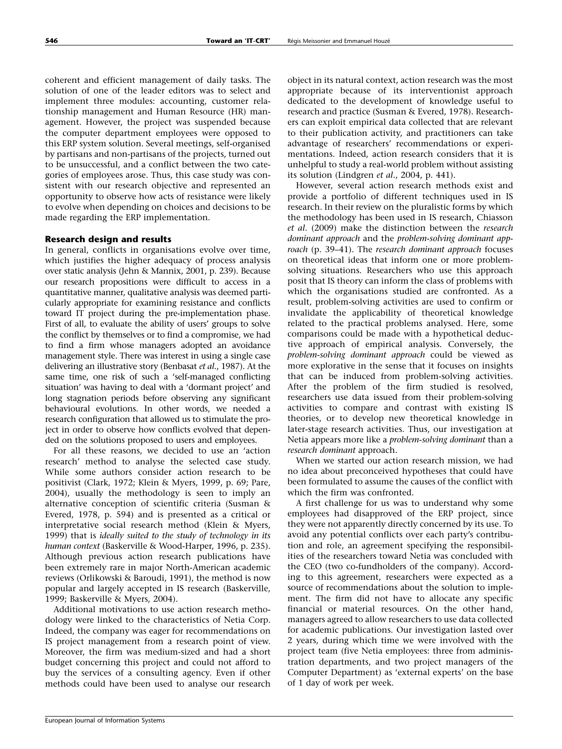coherent and efficient management of daily tasks. The solution of one of the leader editors was to select and implement three modules: accounting, customer relationship management and Human Resource (HR) management. However, the project was suspended because the computer department employees were opposed to this ERP system solution. Several meetings, self-organised by partisans and non-partisans of the projects, turned out to be unsuccessful, and a conflict between the two categories of employees arose. Thus, this case study was consistent with our research objective and represented an opportunity to observe how acts of resistance were likely to evolve when depending on choices and decisions to be made regarding the ERP implementation.

#### Research design and results

In general, conflicts in organisations evolve over time, which justifies the higher adequacy of process analysis over static analysis (Jehn & Mannix, 2001, p. 239). Because our research propositions were difficult to access in a quantitative manner, qualitative analysis was deemed particularly appropriate for examining resistance and conflicts toward IT project during the pre-implementation phase. First of all, to evaluate the ability of users' groups to solve the conflict by themselves or to find a compromise, we had to find a firm whose managers adopted an avoidance management style. There was interest in using a single case delivering an illustrative story (Benbasat et al., 1987). At the same time, one risk of such a 'self-managed conflicting situation' was having to deal with a 'dormant project' and long stagnation periods before observing any significant behavioural evolutions. In other words, we needed a research configuration that allowed us to stimulate the project in order to observe how conflicts evolved that depended on the solutions proposed to users and employees.

For all these reasons, we decided to use an 'action research' method to analyse the selected case study. While some authors consider action research to be positivist (Clark, 1972; Klein & Myers, 1999, p. 69; Pare, 2004), usually the methodology is seen to imply an alternative conception of scientific criteria (Susman & Evered, 1978, p. 594) and is presented as a critical or interpretative social research method (Klein & Myers, 1999) that is ideally suited to the study of technology in its human context (Baskerville & Wood-Harper, 1996, p. 235). Although previous action research publications have been extremely rare in major North-American academic reviews (Orlikowski & Baroudi, 1991), the method is now popular and largely accepted in IS research (Baskerville, 1999; Baskerville & Myers, 2004).

Additional motivations to use action research methodology were linked to the characteristics of Netia Corp. Indeed, the company was eager for recommendations on IS project management from a research point of view. Moreover, the firm was medium-sized and had a short budget concerning this project and could not afford to buy the services of a consulting agency. Even if other methods could have been used to analyse our research object in its natural context, action research was the most appropriate because of its interventionist approach dedicated to the development of knowledge useful to research and practice (Susman & Evered, 1978). Researchers can exploit empirical data collected that are relevant to their publication activity, and practitioners can take advantage of researchers' recommendations or experimentations. Indeed, action research considers that it is unhelpful to study a real-world problem without assisting its solution (Lindgren et al., 2004, p. 441).

However, several action research methods exist and provide a portfolio of different techniques used in IS research. In their review on the pluralistic forms by which the methodology has been used in IS research, Chiasson et al. (2009) make the distinction between the research dominant approach and the problem-solving dominant approach (p. 39–41). The research dominant approach focuses on theoretical ideas that inform one or more problemsolving situations. Researchers who use this approach posit that IS theory can inform the class of problems with which the organisations studied are confronted. As a result, problem-solving activities are used to confirm or invalidate the applicability of theoretical knowledge related to the practical problems analysed. Here, some comparisons could be made with a hypothetical deductive approach of empirical analysis. Conversely, the problem-solving dominant approach could be viewed as more explorative in the sense that it focuses on insights that can be induced from problem-solving activities. After the problem of the firm studied is resolved, researchers use data issued from their problem-solving activities to compare and contrast with existing IS theories, or to develop new theoretical knowledge in later-stage research activities. Thus, our investigation at Netia appears more like a problem-solving dominant than a research dominant approach.

When we started our action research mission, we had no idea about preconceived hypotheses that could have been formulated to assume the causes of the conflict with which the firm was confronted.

A first challenge for us was to understand why some employees had disapproved of the ERP project, since they were not apparently directly concerned by its use. To avoid any potential conflicts over each party's contribution and role, an agreement specifying the responsibilities of the researchers toward Netia was concluded with the CEO (two co-fundholders of the company). According to this agreement, researchers were expected as a source of recommendations about the solution to implement. The firm did not have to allocate any specific financial or material resources. On the other hand, managers agreed to allow researchers to use data collected for academic publications. Our investigation lasted over 2 years, during which time we were involved with the project team (five Netia employees: three from administration departments, and two project managers of the Computer Department) as 'external experts' on the base of 1 day of work per week.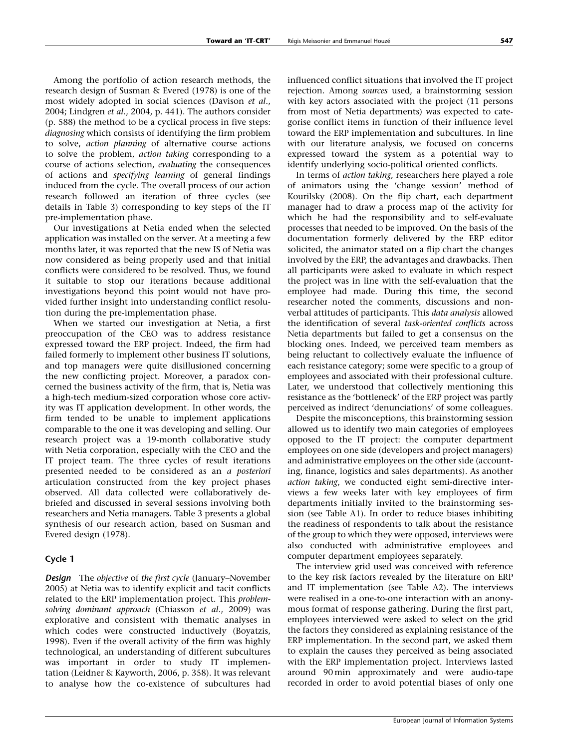**Toward an 'IT-CRT'** Régis Meissonier and Emmanuel Houze<sup>\*</sup> 547

Among the portfolio of action research methods, the research design of Susman & Evered (1978) is one of the most widely adopted in social sciences (Davison et al., 2004; Lindgren et al., 2004, p. 441). The authors consider (p. 588) the method to be a cyclical process in five steps: diagnosing which consists of identifying the firm problem to solve, action planning of alternative course actions to solve the problem, action taking corresponding to a course of actions selection, evaluating the consequences of actions and specifying learning of general findings induced from the cycle. The overall process of our action research followed an iteration of three cycles (see details in Table 3) corresponding to key steps of the IT pre-implementation phase.

Our investigations at Netia ended when the selected application was installed on the server. At a meeting a few months later, it was reported that the new IS of Netia was now considered as being properly used and that initial conflicts were considered to be resolved. Thus, we found it suitable to stop our iterations because additional investigations beyond this point would not have provided further insight into understanding conflict resolution during the pre-implementation phase.

When we started our investigation at Netia, a first preoccupation of the CEO was to address resistance expressed toward the ERP project. Indeed, the firm had failed formerly to implement other business IT solutions, and top managers were quite disillusioned concerning the new conflicting project. Moreover, a paradox concerned the business activity of the firm, that is, Netia was a high-tech medium-sized corporation whose core activity was IT application development. In other words, the firm tended to be unable to implement applications comparable to the one it was developing and selling. Our research project was a 19-month collaborative study with Netia corporation, especially with the CEO and the IT project team. The three cycles of result iterations presented needed to be considered as an a posteriori articulation constructed from the key project phases observed. All data collected were collaboratively debriefed and discussed in several sessions involving both researchers and Netia managers. Table 3 presents a global synthesis of our research action, based on Susman and Evered design (1978).

## Cycle 1

**Design** The objective of the first cycle (January–November 2005) at Netia was to identify explicit and tacit conflicts related to the ERP implementation project. This problemsolving dominant approach (Chiasson et al., 2009) was explorative and consistent with thematic analyses in which codes were constructed inductively (Boyatzis, 1998). Even if the overall activity of the firm was highly technological, an understanding of different subcultures was important in order to study IT implementation (Leidner & Kayworth, 2006, p. 358). It was relevant to analyse how the co-existence of subcultures had influenced conflict situations that involved the IT project rejection. Among sources used, a brainstorming session with key actors associated with the project (11 persons from most of Netia departments) was expected to categorise conflict items in function of their influence level toward the ERP implementation and subcultures. In line with our literature analysis, we focused on concerns expressed toward the system as a potential way to identify underlying socio-political oriented conflicts.

In terms of action taking, researchers here played a role of animators using the 'change session' method of Kourilsky (2008). On the flip chart, each department manager had to draw a process map of the activity for which he had the responsibility and to self-evaluate processes that needed to be improved. On the basis of the documentation formerly delivered by the ERP editor solicited, the animator stated on a flip chart the changes involved by the ERP, the advantages and drawbacks. Then all participants were asked to evaluate in which respect the project was in line with the self-evaluation that the employee had made. During this time, the second researcher noted the comments, discussions and nonverbal attitudes of participants. This data analysis allowed the identification of several task-oriented conflicts across Netia departments but failed to get a consensus on the blocking ones. Indeed, we perceived team members as being reluctant to collectively evaluate the influence of each resistance category; some were specific to a group of employees and associated with their professional culture. Later, we understood that collectively mentioning this resistance as the 'bottleneck' of the ERP project was partly perceived as indirect 'denunciations' of some colleagues.

Despite the misconceptions, this brainstorming session allowed us to identify two main categories of employees opposed to the IT project: the computer department employees on one side (developers and project managers) and administrative employees on the other side (accounting, finance, logistics and sales departments). As another action taking, we conducted eight semi-directive interviews a few weeks later with key employees of firm departments initially invited to the brainstorming session (see Table A1). In order to reduce biases inhibiting the readiness of respondents to talk about the resistance of the group to which they were opposed, interviews were also conducted with administrative employees and computer department employees separately.

The interview grid used was conceived with reference to the key risk factors revealed by the literature on ERP and IT implementation (see Table A2). The interviews were realised in a one-to-one interaction with an anonymous format of response gathering. During the first part, employees interviewed were asked to select on the grid the factors they considered as explaining resistance of the ERP implementation. In the second part, we asked them to explain the causes they perceived as being associated with the ERP implementation project. Interviews lasted around 90 min approximately and were audio-tape recorded in order to avoid potential biases of only one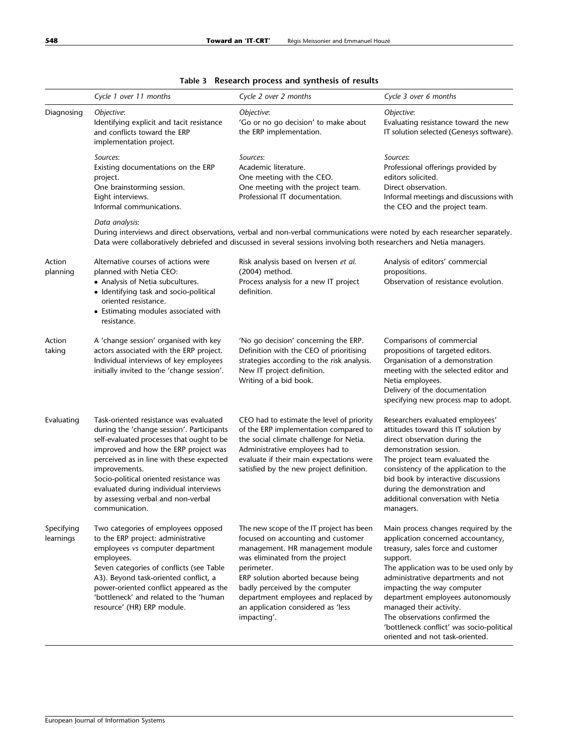|                         | Cycle 1 over 11 months                                                                                                                                                                                                                                                                                                                                                             | Cycle 2 over 2 months                                                                                                                                                                                                                                                                                                                     | Cycle 3 over 6 months                                                                                                                                                                                                                                                                                                                                                                                                        |
|-------------------------|------------------------------------------------------------------------------------------------------------------------------------------------------------------------------------------------------------------------------------------------------------------------------------------------------------------------------------------------------------------------------------|-------------------------------------------------------------------------------------------------------------------------------------------------------------------------------------------------------------------------------------------------------------------------------------------------------------------------------------------|------------------------------------------------------------------------------------------------------------------------------------------------------------------------------------------------------------------------------------------------------------------------------------------------------------------------------------------------------------------------------------------------------------------------------|
| Diagnosing              | Objective:<br>Identifying explicit and tacit resistance<br>and conflicts toward the ERP<br>implementation project.                                                                                                                                                                                                                                                                 | Objective:<br>'Go or no go decision' to make about<br>the ERP implementation.                                                                                                                                                                                                                                                             | Objective:<br>Evaluating resistance toward the new<br>IT solution selected (Genesys software).                                                                                                                                                                                                                                                                                                                               |
|                         | Sources:<br>Existing documentations on the ERP<br>project.<br>One brainstorming session.<br>Eight interviews.<br>Informal communications.                                                                                                                                                                                                                                          | Sources:<br>Academic literature.<br>One meeting with the CEO.<br>One meeting with the project team.<br>Professional IT documentation.                                                                                                                                                                                                     | Sources:<br>Professional offerings provided by<br>editors solicited.<br>Direct observation.<br>Informal meetings and discussions with<br>the CEO and the project team.                                                                                                                                                                                                                                                       |
|                         | Data analysis:                                                                                                                                                                                                                                                                                                                                                                     | During interviews and direct observations, verbal and non-verbal communications were noted by each researcher separately.<br>Data were collaboratively debriefed and discussed in several sessions involving both researchers and Netia managers.                                                                                         |                                                                                                                                                                                                                                                                                                                                                                                                                              |
| Action<br>planning      | Alternative courses of actions were<br>planned with Netia CEO:<br>• Analysis of Netia subcultures.<br>• Identifying task and socio-political<br>oriented resistance.<br>• Estimating modules associated with<br>resistance.                                                                                                                                                        | Risk analysis based on Iversen et al.<br>(2004) method.<br>Process analysis for a new IT project<br>definition.                                                                                                                                                                                                                           | Analysis of editors' commercial<br>propositions.<br>Observation of resistance evolution.                                                                                                                                                                                                                                                                                                                                     |
| Action<br>taking        | A 'change session' organised with key<br>actors associated with the ERP project.<br>Individual interviews of key employees<br>initially invited to the 'change session'.                                                                                                                                                                                                           | 'No go decision' concerning the ERP.<br>Definition with the CEO of prioritising<br>strategies according to the risk analysis.<br>New IT project definition.<br>Writing of a bid book.                                                                                                                                                     | Comparisons of commercial<br>propositions of targeted editors.<br>Organisation of a demonstration<br>meeting with the selected editor and<br>Netia employees.<br>Delivery of the documentation<br>specifying new process map to adopt.                                                                                                                                                                                       |
| Evaluating              | Task-oriented resistance was evaluated<br>during the 'change session'. Participants<br>self-evaluated processes that ought to be<br>improved and how the ERP project was<br>perceived as in line with these expected<br>improvements.<br>Socio-political oriented resistance was<br>evaluated during individual interviews<br>by assessing verbal and non-verbal<br>communication. | CEO had to estimate the level of priority<br>of the ERP implementation compared to<br>the social climate challenge for Netia.<br>Administrative employees had to<br>evaluate if their main expectations were<br>satisfied by the new project definition.                                                                                  | Researchers evaluated employees'<br>attitudes toward this IT solution by<br>direct observation during the<br>demonstration session.<br>The project team evaluated the<br>consistency of the application to the<br>bid book by interactive discussions<br>during the demonstration and<br>additional conversation with Netia<br>managers.                                                                                     |
| Specifying<br>learnings | Two categories of employees opposed<br>to the ERP project: administrative<br>employees vs computer department<br>employees.<br>Seven categories of conflicts (see Table<br>A3). Beyond task-oriented conflict, a<br>power-oriented conflict appeared as the<br>'bottleneck' and related to the 'human<br>resource' (HR) ERP module.                                                | The new scope of the IT project has been<br>focused on accounting and customer<br>management. HR management module<br>was eliminated from the project<br>perimeter.<br>ERP solution aborted because being<br>badly perceived by the computer<br>department employees and replaced by<br>an application considered as 'less<br>impacting'. | Main process changes required by the<br>application concerned accountancy,<br>treasury, sales force and customer<br>support.<br>The application was to be used only by<br>administrative departments and not<br>impacting the way computer<br>department employees autonomously<br>managed their activity.<br>The observations confirmed the<br>'bottleneck conflict' was socio-political<br>oriented and not task-oriented. |

## Table 3 Research process and synthesis of results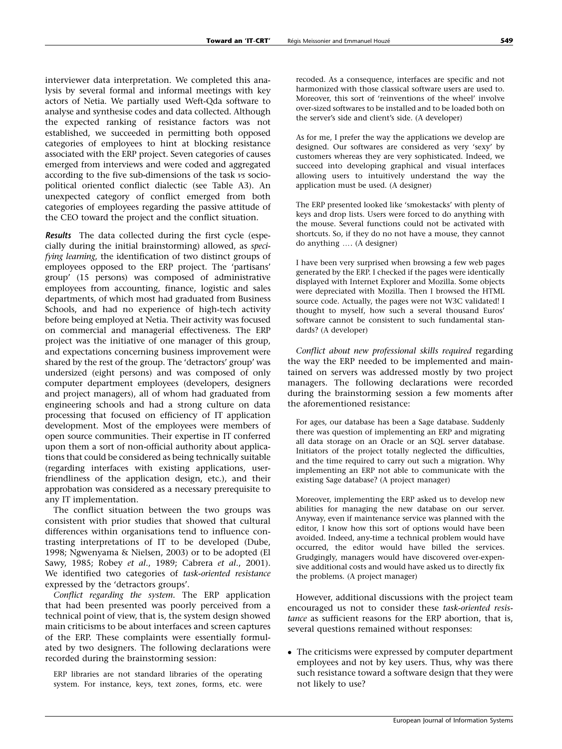interviewer data interpretation. We completed this analysis by several formal and informal meetings with key actors of Netia. We partially used Weft-Qda software to analyse and synthesise codes and data collected. Although the expected ranking of resistance factors was not established, we succeeded in permitting both opposed categories of employees to hint at blocking resistance associated with the ERP project. Seven categories of causes emerged from interviews and were coded and aggregated according to the five sub-dimensions of the task vs sociopolitical oriented conflict dialectic (see Table A3). An unexpected category of conflict emerged from both categories of employees regarding the passive attitude of the CEO toward the project and the conflict situation.

Results The data collected during the first cycle (especially during the initial brainstorming) allowed, as specifying learning, the identification of two distinct groups of employees opposed to the ERP project. The 'partisans' group' (15 persons) was composed of administrative employees from accounting, finance, logistic and sales departments, of which most had graduated from Business Schools, and had no experience of high-tech activity before being employed at Netia. Their activity was focused on commercial and managerial effectiveness. The ERP project was the initiative of one manager of this group, and expectations concerning business improvement were shared by the rest of the group. The 'detractors' group' was undersized (eight persons) and was composed of only computer department employees (developers, designers and project managers), all of whom had graduated from engineering schools and had a strong culture on data processing that focused on efficiency of IT application development. Most of the employees were members of open source communities. Their expertise in IT conferred upon them a sort of non-official authority about applications that could be considered as being technically suitable (regarding interfaces with existing applications, userfriendliness of the application design, etc.), and their approbation was considered as a necessary prerequisite to any IT implementation.

The conflict situation between the two groups was consistent with prior studies that showed that cultural differences within organisations tend to influence contrasting interpretations of IT to be developed (Dube, 1998; Ngwenyama & Nielsen, 2003) or to be adopted (El Sawy, 1985; Robey et al., 1989; Cabrera et al., 2001). We identified two categories of task-oriented resistance expressed by the 'detractors groups'.

Conflict regarding the system. The ERP application that had been presented was poorly perceived from a technical point of view, that is, the system design showed main criticisms to be about interfaces and screen captures of the ERP. These complaints were essentially formulated by two designers. The following declarations were recorded during the brainstorming session:

ERP libraries are not standard libraries of the operating system. For instance, keys, text zones, forms, etc. were recoded. As a consequence, interfaces are specific and not harmonized with those classical software users are used to. Moreover, this sort of 'reinventions of the wheel' involve over-sized softwares to be installed and to be loaded both on the server's side and client's side. (A developer)

As for me, I prefer the way the applications we develop are designed. Our softwares are considered as very 'sexy' by customers whereas they are very sophisticated. Indeed, we succeed into developing graphical and visual interfaces allowing users to intuitively understand the way the application must be used. (A designer)

The ERP presented looked like 'smokestacks' with plenty of keys and drop lists. Users were forced to do anything with the mouse. Several functions could not be activated with shortcuts. So, if they do no not have a mouse, they cannot do anything .... (A designer)

I have been very surprised when browsing a few web pages generated by the ERP. I checked if the pages were identically displayed with Internet Explorer and Mozilla. Some objects were depreciated with Mozilla. Then I browsed the HTML source code. Actually, the pages were not W3C validated! I thought to myself, how such a several thousand Euros' software cannot be consistent to such fundamental standards? (A developer)

Conflict about new professional skills required regarding the way the ERP needed to be implemented and maintained on servers was addressed mostly by two project managers. The following declarations were recorded during the brainstorming session a few moments after the aforementioned resistance:

For ages, our database has been a Sage database. Suddenly there was question of implementing an ERP and migrating all data storage on an Oracle or an SQL server database. Initiators of the project totally neglected the difficulties, and the time required to carry out such a migration. Why implementing an ERP not able to communicate with the existing Sage database? (A project manager)

Moreover, implementing the ERP asked us to develop new abilities for managing the new database on our server. Anyway, even if maintenance service was planned with the editor, I know how this sort of options would have been avoided. Indeed, any-time a technical problem would have occurred, the editor would have billed the services. Grudgingly, managers would have discovered over-expensive additional costs and would have asked us to directly fix the problems. (A project manager)

However, additional discussions with the project team encouraged us not to consider these task-oriented resistance as sufficient reasons for the ERP abortion, that is, several questions remained without responses:

- The criticisms were expressed by computer department employees and not by key users. Thus, why was there such resistance toward a software design that they were not likely to use?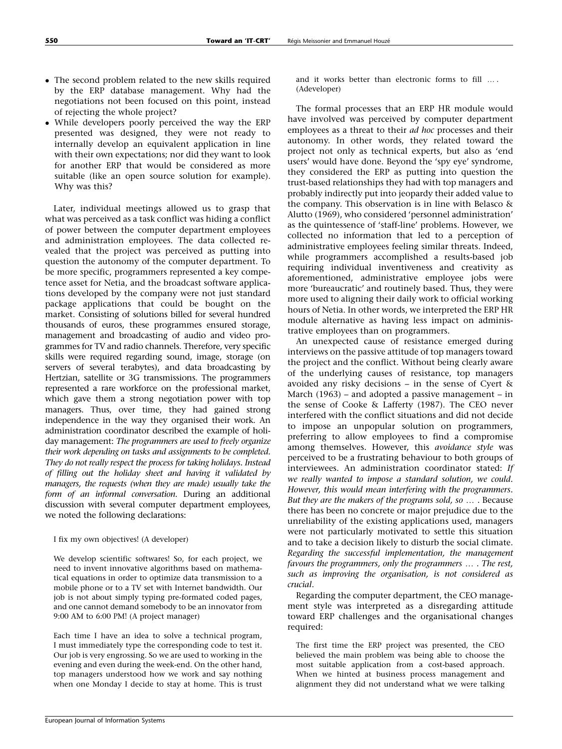- The second problem related to the new skills required by the ERP database management. Why had the negotiations not been focused on this point, instead of rejecting the whole project?
- While developers poorly perceived the way the ERP presented was designed, they were not ready to internally develop an equivalent application in line with their own expectations; nor did they want to look for another ERP that would be considered as more suitable (like an open source solution for example). Why was this?

Later, individual meetings allowed us to grasp that what was perceived as a task conflict was hiding a conflict of power between the computer department employees and administration employees. The data collected revealed that the project was perceived as putting into question the autonomy of the computer department. To be more specific, programmers represented a key competence asset for Netia, and the broadcast software applications developed by the company were not just standard package applications that could be bought on the market. Consisting of solutions billed for several hundred thousands of euros, these programmes ensured storage, management and broadcasting of audio and video programmes for TV and radio channels. Therefore, very specific skills were required regarding sound, image, storage (on servers of several terabytes), and data broadcasting by Hertzian, satellite or 3G transmissions. The programmers represented a rare workforce on the professional market, which gave them a strong negotiation power with top managers. Thus, over time, they had gained strong independence in the way they organised their work. An administration coordinator described the example of holiday management: The programmers are used to freely organize their work depending on tasks and assignments to be completed. They do not really respect the process for taking holidays. Instead of filling out the holiday sheet and having it validated by managers, the requests (when they are made) usually take the form of an informal conversation. During an additional discussion with several computer department employees, we noted the following declarations:

#### I fix my own objectives! (A developer)

We develop scientific softwares! So, for each project, we need to invent innovative algorithms based on mathematical equations in order to optimize data transmission to a mobile phone or to a TV set with Internet bandwidth. Our job is not about simply typing pre-formated coded pages, and one cannot demand somebody to be an innovator from 9:00 AM to 6:00 PM! (A project manager)

Each time I have an idea to solve a technical program, I must immediately type the corresponding code to test it. Our job is very engrossing. So we are used to working in the evening and even during the week-end. On the other hand, top managers understood how we work and say nothing when one Monday I decide to stay at home. This is trust

and it works better than electronic forms to fill  $\dots$ . (Adeveloper)

The formal processes that an ERP HR module would have involved was perceived by computer department employees as a threat to their *ad hoc* processes and their autonomy. In other words, they related toward the project not only as technical experts, but also as 'end users' would have done. Beyond the 'spy eye' syndrome, they considered the ERP as putting into question the trust-based relationships they had with top managers and probably indirectly put into jeopardy their added value to the company. This observation is in line with Belasco & Alutto (1969), who considered 'personnel administration' as the quintessence of 'staff-line' problems. However, we collected no information that led to a perception of administrative employees feeling similar threats. Indeed, while programmers accomplished a results-based job requiring individual inventiveness and creativity as aforementioned, administrative employee jobs were more 'bureaucratic' and routinely based. Thus, they were more used to aligning their daily work to official working hours of Netia. In other words, we interpreted the ERP HR module alternative as having less impact on administrative employees than on programmers.

An unexpected cause of resistance emerged during interviews on the passive attitude of top managers toward the project and the conflict. Without being clearly aware of the underlying causes of resistance, top managers avoided any risky decisions – in the sense of Cyert & March (1963) – and adopted a passive management – in the sense of Cooke & Lafferty (1987). The CEO never interfered with the conflict situations and did not decide to impose an unpopular solution on programmers, preferring to allow employees to find a compromise among themselves. However, this avoidance style was perceived to be a frustrating behaviour to both groups of interviewees. An administration coordinator stated: If we really wanted to impose a standard solution, we could. However, this would mean interfering with the programmers. But they are the makers of the programs sold, so  $\ldots$  . Because there has been no concrete or major prejudice due to the unreliability of the existing applications used, managers were not particularly motivated to settle this situation and to take a decision likely to disturb the social climate. Regarding the successful implementation, the management favours the programmers, only the programmers  $\ldots$  . The rest, such as improving the organisation, is not considered as crucial.

Regarding the computer department, the CEO management style was interpreted as a disregarding attitude toward ERP challenges and the organisational changes required:

The first time the ERP project was presented, the CEO believed the main problem was being able to choose the most suitable application from a cost-based approach. When we hinted at business process management and alignment they did not understand what we were talking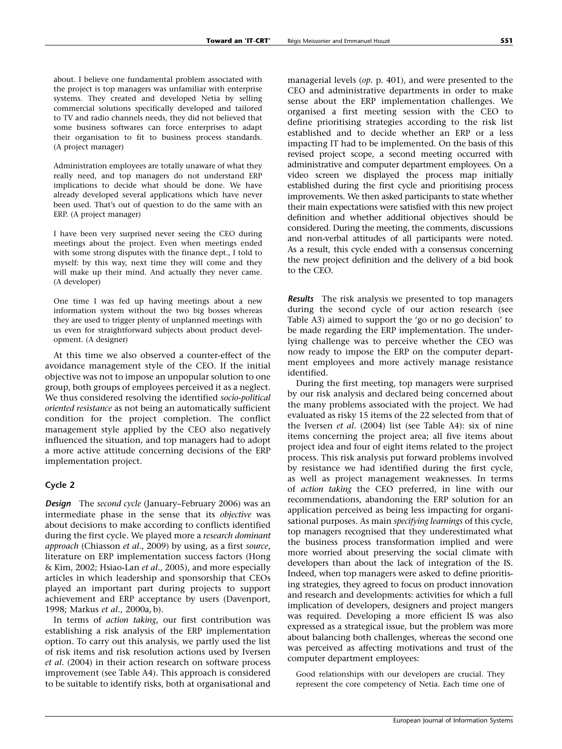about. I believe one fundamental problem associated with the project is top managers was unfamiliar with enterprise systems. They created and developed Netia by selling commercial solutions specifically developed and tailored to TV and radio channels needs, they did not believed that some business softwares can force enterprises to adapt their organisation to fit to business process standards. (A project manager)

Administration employees are totally unaware of what they really need, and top managers do not understand ERP implications to decide what should be done. We have already developed several applications which have never been used. That's out of question to do the same with an ERP. (A project manager)

I have been very surprised never seeing the CEO during meetings about the project. Even when meetings ended with some strong disputes with the finance dept., I told to myself: by this way, next time they will come and they will make up their mind. And actually they never came. (A developer)

One time I was fed up having meetings about a new information system without the two big bosses whereas they are used to trigger plenty of unplanned meetings with us even for straightforward subjects about product development. (A designer)

At this time we also observed a counter-effect of the avoidance management style of the CEO. If the initial objective was not to impose an unpopular solution to one group, both groups of employees perceived it as a neglect. We thus considered resolving the identified socio-political oriented resistance as not being an automatically sufficient condition for the project completion. The conflict management style applied by the CEO also negatively influenced the situation, and top managers had to adopt a more active attitude concerning decisions of the ERP implementation project.

## Cycle 2

**Design** The second cycle (January–February 2006) was an intermediate phase in the sense that its objective was about decisions to make according to conflicts identified during the first cycle. We played more a research dominant approach (Chiasson et al., 2009) by using, as a first source, literature on ERP implementation success factors (Hong & Kim, 2002; Hsiao-Lan et al., 2005), and more especially articles in which leadership and sponsorship that CEOs played an important part during projects to support achievement and ERP acceptance by users (Davenport, 1998; Markus et al., 2000a, b).

In terms of action taking, our first contribution was establishing a risk analysis of the ERP implementation option. To carry out this analysis, we partly used the list of risk items and risk resolution actions used by Iversen et al. (2004) in their action research on software process improvement (see Table A4). This approach is considered to be suitable to identify risks, both at organisational and managerial levels (op. p. 401), and were presented to the CEO and administrative departments in order to make sense about the ERP implementation challenges. We organised a first meeting session with the CEO to define prioritising strategies according to the risk list established and to decide whether an ERP or a less impacting IT had to be implemented. On the basis of this revised project scope, a second meeting occurred with administrative and computer department employees. On a video screen we displayed the process map initially established during the first cycle and prioritising process improvements. We then asked participants to state whether their main expectations were satisfied with this new project definition and whether additional objectives should be considered. During the meeting, the comments, discussions and non-verbal attitudes of all participants were noted. As a result, this cycle ended with a consensus concerning the new project definition and the delivery of a bid book to the CEO.

**Results** The risk analysis we presented to top managers during the second cycle of our action research (see Table A3) aimed to support the 'go or no go decision' to be made regarding the ERP implementation. The underlying challenge was to perceive whether the CEO was now ready to impose the ERP on the computer department employees and more actively manage resistance identified.

During the first meeting, top managers were surprised by our risk analysis and declared being concerned about the many problems associated with the project. We had evaluated as risky 15 items of the 22 selected from that of the Iversen et al. (2004) list (see Table A4): six of nine items concerning the project area; all five items about project idea and four of eight items related to the project process. This risk analysis put forward problems involved by resistance we had identified during the first cycle, as well as project management weaknesses. In terms of action taking the CEO preferred, in line with our recommendations, abandoning the ERP solution for an application perceived as being less impacting for organisational purposes. As main specifying learnings of this cycle, top managers recognised that they underestimated what the business process transformation implied and were more worried about preserving the social climate with developers than about the lack of integration of the IS. Indeed, when top managers were asked to define prioritising strategies, they agreed to focus on product innovation and research and developments: activities for which a full implication of developers, designers and project mangers was required. Developing a more efficient IS was also expressed as a strategical issue, but the problem was more about balancing both challenges, whereas the second one was perceived as affecting motivations and trust of the computer department employees:

Good relationships with our developers are crucial. They represent the core competency of Netia. Each time one of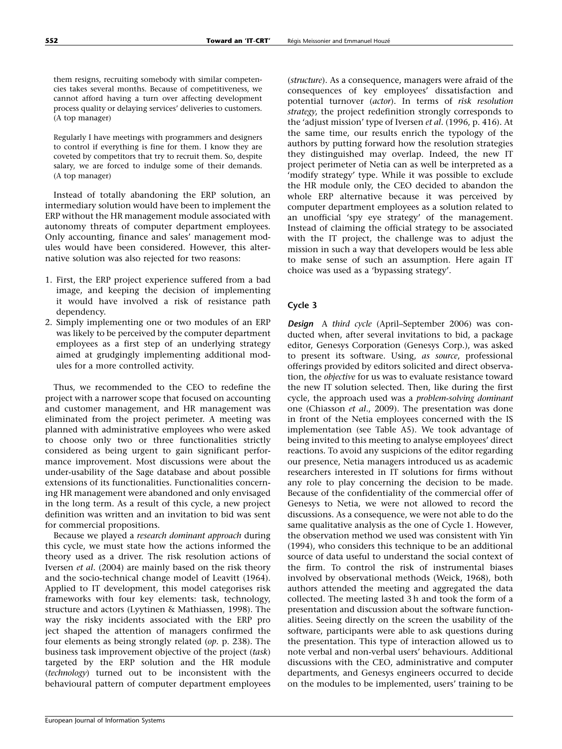them resigns, recruiting somebody with similar competencies takes several months. Because of competitiveness, we cannot afford having a turn over affecting development process quality or delaying services' deliveries to customers. (A top manager)

Regularly I have meetings with programmers and designers to control if everything is fine for them. I know they are coveted by competitors that try to recruit them. So, despite salary, we are forced to indulge some of their demands. (A top manager)

Instead of totally abandoning the ERP solution, an intermediary solution would have been to implement the ERP without the HR management module associated with autonomy threats of computer department employees. Only accounting, finance and sales' management modules would have been considered. However, this alternative solution was also rejected for two reasons:

- 1. First, the ERP project experience suffered from a bad image, and keeping the decision of implementing it would have involved a risk of resistance path dependency.
- 2. Simply implementing one or two modules of an ERP was likely to be perceived by the computer department employees as a first step of an underlying strategy aimed at grudgingly implementing additional modules for a more controlled activity.

Thus, we recommended to the CEO to redefine the project with a narrower scope that focused on accounting and customer management, and HR management was eliminated from the project perimeter. A meeting was planned with administrative employees who were asked to choose only two or three functionalities strictly considered as being urgent to gain significant performance improvement. Most discussions were about the under-usability of the Sage database and about possible extensions of its functionalities. Functionalities concerning HR management were abandoned and only envisaged in the long term. As a result of this cycle, a new project definition was written and an invitation to bid was sent for commercial propositions.

Because we played a research dominant approach during this cycle, we must state how the actions informed the theory used as a driver. The risk resolution actions of Iversen et al. (2004) are mainly based on the risk theory and the socio-technical change model of Leavitt (1964). Applied to IT development, this model categorises risk frameworks with four key elements: task, technology, structure and actors (Lyytinen & Mathiassen, 1998). The way the risky incidents associated with the ERP pro ject shaped the attention of managers confirmed the four elements as being strongly related (op. p. 238). The business task improvement objective of the project (task) targeted by the ERP solution and the HR module (technology) turned out to be inconsistent with the behavioural pattern of computer department employees

(structure). As a consequence, managers were afraid of the consequences of key employees' dissatisfaction and potential turnover (actor). In terms of risk resolution strategy, the project redefinition strongly corresponds to the 'adjust mission' type of Iversen et al. (1996, p. 416). At the same time, our results enrich the typology of the authors by putting forward how the resolution strategies they distinguished may overlap. Indeed, the new IT project perimeter of Netia can as well be interpreted as a 'modify strategy' type. While it was possible to exclude the HR module only, the CEO decided to abandon the whole ERP alternative because it was perceived by computer department employees as a solution related to an unofficial 'spy eye strategy' of the management. Instead of claiming the official strategy to be associated with the IT project, the challenge was to adjust the mission in such a way that developers would be less able to make sense of such an assumption. Here again IT choice was used as a 'bypassing strategy'.

## Cycle 3

Design A third cycle (April–September 2006) was conducted when, after several invitations to bid, a package editor, Genesys Corporation (Genesys Corp.), was asked to present its software. Using, as source, professional offerings provided by editors solicited and direct observation, the objective for us was to evaluate resistance toward the new IT solution selected. Then, like during the first cycle, the approach used was a problem-solving dominant one (Chiasson et al., 2009). The presentation was done in front of the Netia employees concerned with the IS implementation (see Table A5). We took advantage of being invited to this meeting to analyse employees' direct reactions. To avoid any suspicions of the editor regarding our presence, Netia managers introduced us as academic researchers interested in IT solutions for firms without any role to play concerning the decision to be made. Because of the confidentiality of the commercial offer of Genesys to Netia, we were not allowed to record the discussions. As a consequence, we were not able to do the same qualitative analysis as the one of Cycle 1. However, the observation method we used was consistent with Yin (1994), who considers this technique to be an additional source of data useful to understand the social context of the firm. To control the risk of instrumental biases involved by observational methods (Weick, 1968), both authors attended the meeting and aggregated the data collected. The meeting lasted 3 h and took the form of a presentation and discussion about the software functionalities. Seeing directly on the screen the usability of the software, participants were able to ask questions during the presentation. This type of interaction allowed us to note verbal and non-verbal users' behaviours. Additional discussions with the CEO, administrative and computer departments, and Genesys engineers occurred to decide on the modules to be implemented, users' training to be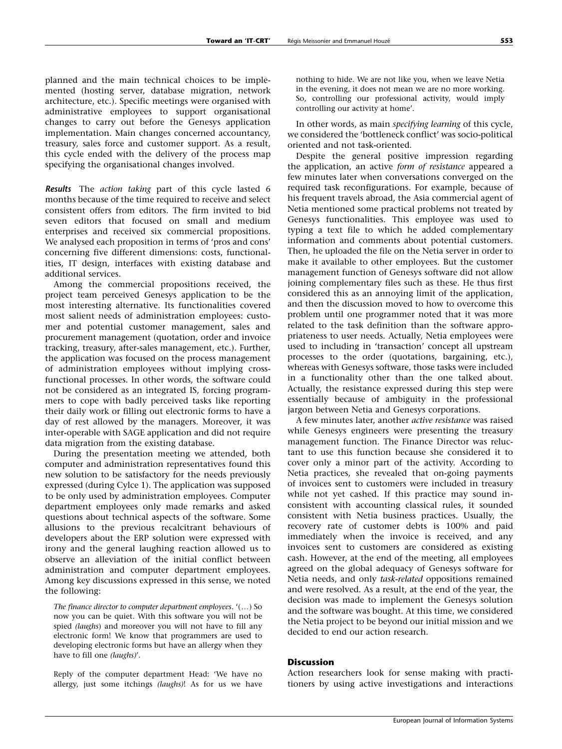planned and the main technical choices to be implemented (hosting server, database migration, network architecture, etc.). Specific meetings were organised with administrative employees to support organisational changes to carry out before the Genesys application implementation. Main changes concerned accountancy, treasury, sales force and customer support. As a result, this cycle ended with the delivery of the process map specifying the organisational changes involved.

Results The action taking part of this cycle lasted 6 months because of the time required to receive and select consistent offers from editors. The firm invited to bid seven editors that focused on small and medium enterprises and received six commercial propositions. We analysed each proposition in terms of 'pros and cons' concerning five different dimensions: costs, functionalities, IT design, interfaces with existing database and additional services.

Among the commercial propositions received, the project team perceived Genesys application to be the most interesting alternative. Its functionalities covered most salient needs of administration employees: customer and potential customer management, sales and procurement management (quotation, order and invoice tracking, treasury, after-sales management, etc.). Further, the application was focused on the process management of administration employees without implying crossfunctional processes. In other words, the software could not be considered as an integrated IS, forcing programmers to cope with badly perceived tasks like reporting their daily work or filling out electronic forms to have a day of rest allowed by the managers. Moreover, it was inter-operable with SAGE application and did not require data migration from the existing database.

During the presentation meeting we attended, both computer and administration representatives found this new solution to be satisfactory for the needs previously expressed (during Cylce 1). The application was supposed to be only used by administration employees. Computer department employees only made remarks and asked questions about technical aspects of the software. Some allusions to the previous recalcitrant behaviours of developers about the ERP solution were expressed with irony and the general laughing reaction allowed us to observe an alleviation of the initial conflict between administration and computer department employees. Among key discussions expressed in this sense, we noted the following:

The finance director to computer department employees.  $'(...)$  So now you can be quiet. With this software you will not be spied (laughs) and moreover you will not have to fill any electronic form! We know that programmers are used to developing electronic forms but have an allergy when they have to fill one (laughs)'.

Reply of the computer department Head: 'We have no allergy, just some itchings (laughs)! As for us we have

nothing to hide. We are not like you, when we leave Netia in the evening, it does not mean we are no more working. So, controlling our professional activity, would imply controlling our activity at home'.

In other words, as main specifying learning of this cycle, we considered the 'bottleneck conflict' was socio-political oriented and not task-oriented.

Despite the general positive impression regarding the application, an active form of resistance appeared a few minutes later when conversations converged on the required task reconfigurations. For example, because of his frequent travels abroad, the Asia commercial agent of Netia mentioned some practical problems not treated by Genesys functionalities. This employee was used to typing a text file to which he added complementary information and comments about potential customers. Then, he uploaded the file on the Netia server in order to make it available to other employees. But the customer management function of Genesys software did not allow joining complementary files such as these. He thus first considered this as an annoying limit of the application, and then the discussion moved to how to overcome this problem until one programmer noted that it was more related to the task definition than the software appropriateness to user needs. Actually, Netia employees were used to including in 'transaction' concept all upstream processes to the order (quotations, bargaining, etc.), whereas with Genesys software, those tasks were included in a functionality other than the one talked about. Actually, the resistance expressed during this step were essentially because of ambiguity in the professional jargon between Netia and Genesys corporations.

A few minutes later, another active resistance was raised while Genesys engineers were presenting the treasury management function. The Finance Director was reluctant to use this function because she considered it to cover only a minor part of the activity. According to Netia practices, she revealed that on-going payments of invoices sent to customers were included in treasury while not yet cashed. If this practice may sound inconsistent with accounting classical rules, it sounded consistent with Netia business practices. Usually, the recovery rate of customer debts is 100% and paid immediately when the invoice is received, and any invoices sent to customers are considered as existing cash. However, at the end of the meeting, all employees agreed on the global adequacy of Genesys software for Netia needs, and only task-related oppositions remained and were resolved. As a result, at the end of the year, the decision was made to implement the Genesys solution and the software was bought. At this time, we considered the Netia project to be beyond our initial mission and we decided to end our action research.

## Discussion

Action researchers look for sense making with practitioners by using active investigations and interactions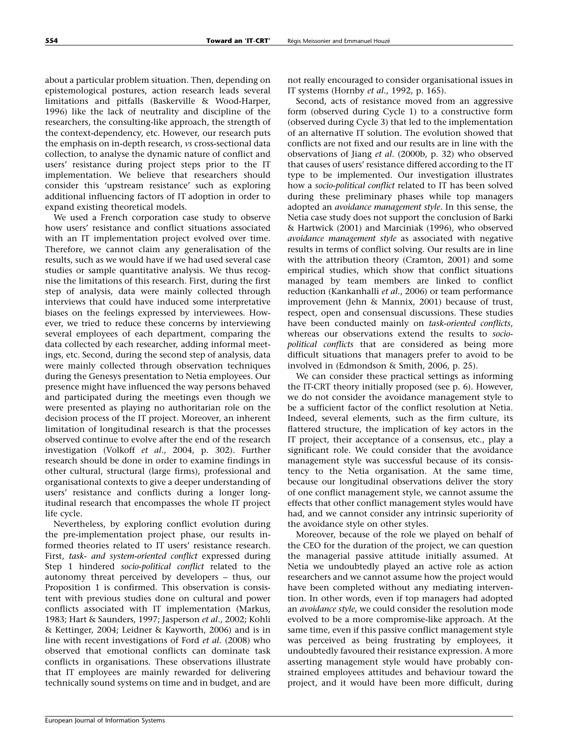about a particular problem situation. Then, depending on epistemological postures, action research leads several limitations and pitfalls (Baskerville & Wood-Harper, 1996) like the lack of neutrality and discipline of the researchers, the consulting-like approach, the strength of the context-dependency, etc. However, our research puts the emphasis on in-depth research, vs cross-sectional data collection, to analyse the dynamic nature of conflict and users' resistance during project steps prior to the IT implementation. We believe that researchers should consider this 'upstream resistance' such as exploring additional influencing factors of IT adoption in order to expand existing theoretical models.

We used a French corporation case study to observe how users' resistance and conflict situations associated with an IT implementation project evolved over time. Therefore, we cannot claim any generalisation of the results, such as we would have if we had used several case studies or sample quantitative analysis. We thus recognise the limitations of this research. First, during the first step of analysis, data were mainly collected through interviews that could have induced some interpretative biases on the feelings expressed by interviewees. However, we tried to reduce these concerns by interviewing several employees of each department, comparing the data collected by each researcher, adding informal meetings, etc. Second, during the second step of analysis, data were mainly collected through observation techniques during the Genesys presentation to Netia employees. Our presence might have influenced the way persons behaved and participated during the meetings even though we were presented as playing no authoritarian role on the decision process of the IT project. Moreover, an inherent limitation of longitudinal research is that the processes observed continue to evolve after the end of the research investigation (Volkoff et al., 2004, p. 302). Further research should be done in order to examine findings in other cultural, structural (large firms), professional and organisational contexts to give a deeper understanding of users' resistance and conflicts during a longer longitudinal research that encompasses the whole IT project life cycle.

Nevertheless, by exploring conflict evolution during the pre-implementation project phase, our results informed theories related to IT users' resistance research. First, task- and system-oriented conflict expressed during Step 1 hindered socio-political conflict related to the autonomy threat perceived by developers – thus, our Proposition 1 is confirmed. This observation is consistent with previous studies done on cultural and power conflicts associated with IT implementation (Markus, 1983; Hart & Saunders, 1997; Jasperson et al., 2002; Kohli & Kettinger, 2004; Leidner & Kayworth, 2006) and is in line with recent investigations of Ford et al. (2008) who observed that emotional conflicts can dominate task conflicts in organisations. These observations illustrate that IT employees are mainly rewarded for delivering technically sound systems on time and in budget, and are not really encouraged to consider organisational issues in IT systems (Hornby et al., 1992, p. 165).

Second, acts of resistance moved from an aggressive form (observed during Cycle 1) to a constructive form (observed during Cycle 3) that led to the implementation of an alternative IT solution. The evolution showed that conflicts are not fixed and our results are in line with the observations of Jiang et al. (2000b, p. 32) who observed that causes of users' resistance differed according to the IT type to be implemented. Our investigation illustrates how a socio-political conflict related to IT has been solved during these preliminary phases while top managers adopted an avoidance management style. In this sense, the Netia case study does not support the conclusion of Barki & Hartwick (2001) and Marciniak (1996), who observed avoidance management style as associated with negative results in terms of conflict solving. Our results are in line with the attribution theory (Cramton, 2001) and some empirical studies, which show that conflict situations managed by team members are linked to conflict reduction (Kankanhalli et al., 2006) or team performance improvement (Jehn & Mannix, 2001) because of trust, respect, open and consensual discussions. These studies have been conducted mainly on task-oriented conflicts, whereas our observations extend the results to sociopolitical conflicts that are considered as being more difficult situations that managers prefer to avoid to be involved in (Edmondson & Smith, 2006, p. 25).

We can consider these practical settings as informing the IT-CRT theory initially proposed (see p. 6). However, we do not consider the avoidance management style to be a sufficient factor of the conflict resolution at Netia. Indeed, several elements, such as the firm culture, its flattered structure, the implication of key actors in the IT project, their acceptance of a consensus, etc., play a significant role. We could consider that the avoidance management style was successful because of its consistency to the Netia organisation. At the same time, because our longitudinal observations deliver the story of one conflict management style, we cannot assume the effects that other conflict management styles would have had, and we cannot consider any intrinsic superiority of the avoidance style on other styles.

Moreover, because of the role we played on behalf of the CEO for the duration of the project, we can question the managerial passive attitude initially assumed. At Netia we undoubtedly played an active role as action researchers and we cannot assume how the project would have been completed without any mediating intervention. In other words, even if top managers had adopted an avoidance style, we could consider the resolution mode evolved to be a more compromise-like approach. At the same time, even if this passive conflict management style was perceived as being frustrating by employees, it undoubtedly favoured their resistance expression. A more asserting management style would have probably constrained employees attitudes and behaviour toward the project, and it would have been more difficult, during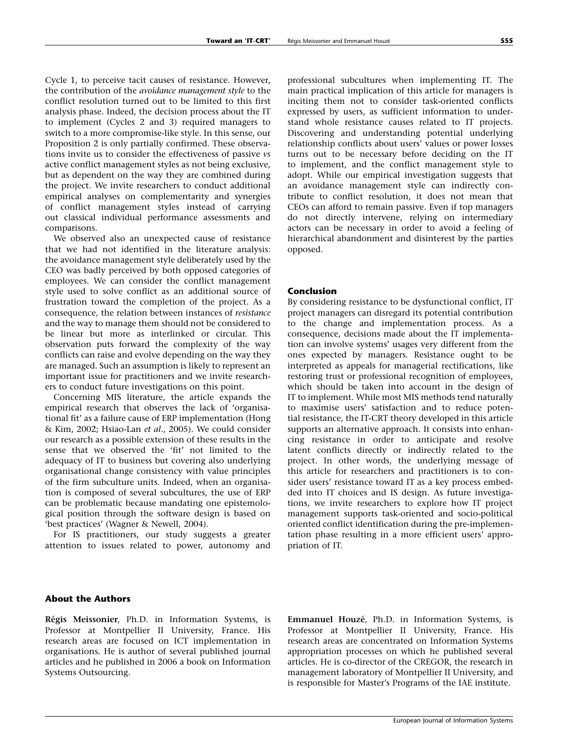Cycle 1, to perceive tacit causes of resistance. However, the contribution of the avoidance management style to the conflict resolution turned out to be limited to this first analysis phase. Indeed, the decision process about the IT to implement (Cycles 2 and 3) required managers to switch to a more compromise-like style. In this sense, our Proposition 2 is only partially confirmed. These observations invite us to consider the effectiveness of passive vs active conflict management styles as not being exclusive, but as dependent on the way they are combined during the project. We invite researchers to conduct additional empirical analyses on complementarity and synergies of conflict management styles instead of carrying out classical individual performance assessments and comparisons.

We observed also an unexpected cause of resistance that we had not identified in the literature analysis: the avoidance management style deliberately used by the CEO was badly perceived by both opposed categories of employees. We can consider the conflict management style used to solve conflict as an additional source of frustration toward the completion of the project. As a consequence, the relation between instances of resistance and the way to manage them should not be considered to be linear but more as interlinked or circular. This observation puts forward the complexity of the way conflicts can raise and evolve depending on the way they are managed. Such an assumption is likely to represent an important issue for practitioners and we invite researchers to conduct future investigations on this point.

Concerning MIS literature, the article expands the empirical research that observes the lack of 'organisational fit' as a failure cause of ERP implementation (Hong & Kim, 2002; Hsiao-Lan et al., 2005). We could consider our research as a possible extension of these results in the sense that we observed the 'fit' not limited to the adequacy of IT to business but covering also underlying organisational change consistency with value principles of the firm subculture units. Indeed, when an organisation is composed of several subcultures, the use of ERP can be problematic because mandating one epistemological position through the software design is based on 'best practices' (Wagner & Newell, 2004).

For IS practitioners, our study suggests a greater attention to issues related to power, autonomy and professional subcultures when implementing IT. The main practical implication of this article for managers is inciting them not to consider task-oriented conflicts expressed by users, as sufficient information to understand whole resistance causes related to IT projects. Discovering and understanding potential underlying relationship conflicts about users' values or power losses turns out to be necessary before deciding on the IT to implement, and the conflict management style to adopt. While our empirical investigation suggests that an avoidance management style can indirectly contribute to conflict resolution, it does not mean that CEOs can afford to remain passive. Even if top managers do not directly intervene, relying on intermediary actors can be necessary in order to avoid a feeling of hierarchical abandonment and disinterest by the parties opposed.

#### Conclusion

By considering resistance to be dysfunctional conflict, IT project managers can disregard its potential contribution to the change and implementation process. As a consequence, decisions made about the IT implementation can involve systems' usages very different from the ones expected by managers. Resistance ought to be interpreted as appeals for managerial rectifications, like restoring trust or professional recognition of employees, which should be taken into account in the design of IT to implement. While most MIS methods tend naturally to maximise users' satisfaction and to reduce potential resistance, the IT-CRT theory developed in this article supports an alternative approach. It consists into enhancing resistance in order to anticipate and resolve latent conflicts directly or indirectly related to the project. In other words, the underlying message of this article for researchers and practitioners is to consider users' resistance toward IT as a key process embedded into IT choices and IS design. As future investigations, we invite researchers to explore how IT project management supports task-oriented and socio-political oriented conflict identification during the pre-implementation phase resulting in a more efficient users' appropriation of IT.

## About the Authors

Régis Meissonier, Ph.D. in Information Systems, is Professor at Montpellier II University, France. His research areas are focused on ICT implementation in organisations. He is author of several published journal articles and he published in 2006 a book on Information Systems Outsourcing.

Emmanuel Houzé, Ph.D. in Information Systems, is Professor at Montpellier II University, France. His research areas are concentrated on Information Systems appropriation processes on which he published several articles. He is co-director of the CREGOR, the research in management laboratory of Montpellier II University, and is responsible for Master's Programs of the IAE institute.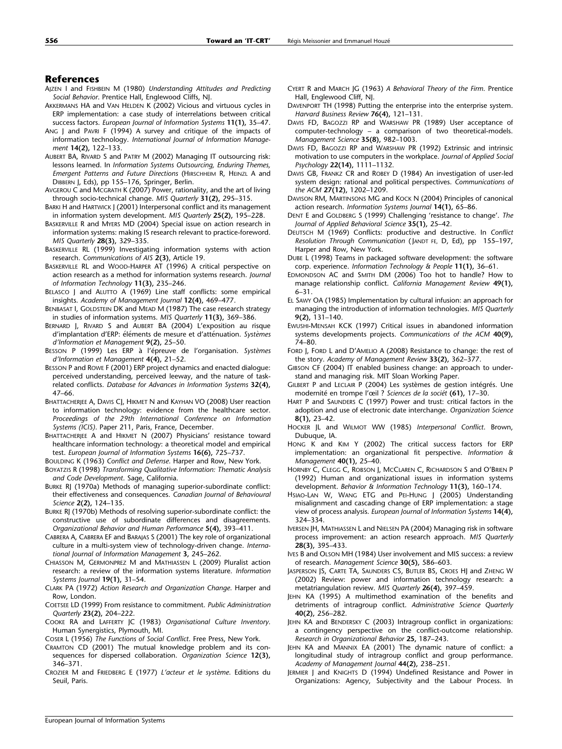## References

- AJZEN I and FISHBEIN M (1980) Understanding Attitudes and Predicting Social Behavior. Prentice Hall, Englewood Cliffs, NJ.
- AKKERMANS HA and VAN HELDEN K (2002) Vicious and virtuous cycles in ERP implementation: a case study of interrelations between critical success factors. European Journal of Information Systems 11(1), 35–47.
- ANG J and PAVRI F (1994) A survey and critique of the impacts of information technology. International Journal of Information Management 14(2), 122–133.
- AUBERT BA, RIVARD S and PATRY M (2002) Managing IT outsourcing risk: lessons learned. In Information Systems Outsourcing, Enduring Themes, Emergent Patterns and Future Directions (HIRSCHHEIM R, HEINZL A and DIBBERN J, Eds), pp 155–176, Springer, Berlin.
- AVGEROU C and MCGRATH K (2007) Power, rationality, and the art of living through socio-technical change. MIS Quarterly 31(2), 295–315.
- BARKI H and HARTWICK J (2001) Interpersonal conflict and its management in information system development. MIS Quarterly 25(2), 195–228.
- BASKERVILLE R and MYERS MD (2004) Special issue on action research in information systems: making IS research relevant to practice-foreword. MIS Quarterly 28(3), 329–335.
- BASKERVILLE RL (1999) Investigating information systems with action research. Communications of AIS 2(3), Article 19.
- BASKERVILLE RL and WOOD-HARPER AT (1996) A critical perspective on action research as a method for information systems research. Journal of Information Technology 11(3), 235–246.
- BELASCO J and ALUTTO A (1969) Line staff conflicts: some empirical insights. Academy of Management Journal 12(4), 469–477.
- BENBASAT I, GOLDSTEIN DK and MEAD M (1987) The case research strategy in studies of information systems. MIS Quarterly 11(3), 369–386.
- BERNARD J, RIVARD S and AUBERT BA (2004) L'exposition au risque d'implantation d'ERP: éléments de mesure et d'atténuation. Systèmes d'Information et Management 9(2), 25–50.
- BESSON P (1999) Les ERP à l'épreuve de l'organisation. Systèmes d'Information et Management 4(4), 21–52.
- BESSON P and ROWE F (2001) ERP project dynamics and enacted dialogue: perceived understanding, perceived leeway, and the nature of taskrelated conflicts. Database for Advances in Information Systems 32(4), 47–66.
- BHATTACHERJEE A, DAVIS CJ, HIKMET N and KAYHAN VO (2008) User reaction to information technology: evidence from the healthcare sector. Proceedings of the 29th International Conference on Information Systems (ICIS). Paper 211, Paris, France, December.
- BHATTACHERJEE A and HIKMET N (2007) Physicians' resistance toward healthcare information technology: a theoretical model and empirical test. European Journal of Information Systems 16(6), 725-737.

BOULDING K (1963) Conflict and Defense. Harper and Row, New York.

- BOYATZIS R (1998) Transforming Qualitative Information: Thematic Analysis and Code Development. Sage, California.
- BURKE RJ (1970a) Methods of managing superior-subordinate conflict: their effectiveness and consequences. Canadian Journal of Behavioural Science 2(2), 124–135.
- BURKE RJ (1970b) Methods of resolving superior-subordinate conflict: the constructive use of subordinate differences and disagreements. Organizational Behavior and Human Performance 5(4), 393–411.
- CABRERA A, CABRERA EF and BARAJAS S (2001) The key role of organizational culture in a multi-system view of technology-driven change. International Journal of Information Management 3, 245–262.
- CHIASSON M, GERMONPREZ M and MATHIASSEN L (2009) Pluralist action research: a review of the information systems literature. Information Systems Journal 19(1), 31–54.
- CLARK PA (1972) Action Research and Organization Change. Harper and Row, London.
- COETSEE LD (1999) From resistance to commitment. Public Administration Quarterly 23(2), 204–222.
- COOKE RA and LAFFERTY JC (1983) Organisational Culture Inventory. Human Synergistics, Plymouth, MI.
- COSER L (1956) The Functions of Social Conflict. Free Press, New York.
- CRAMTON CD (2001) The mutual knowledge problem and its consequences for dispersed collaboration. Organization Science 12(3), 346–371.
- CROZIER M and FRIEDBERG E (1977) L'acteur et le système. Editions du Seuil, Paris.
- CYERT R and MARCH JG (1963) A Behavioral Theory of the Firm. Prentice Hall, Englewood Cliff, NJ.
- DAVENPORT TH (1998) Putting the enterprise into the enterprise system. Harvard Business Review 76(4), 121–131.
- DAVIS FD, BAGOZZI RP and WARSHAW PR (1989) User acceptance of computer-technology – a comparison of two theoretical-models. Management Science 35(8), 982–1003.
- DAVIS FD, BAGOZZI RP and WARSHAW PR (1992) Extrinsic and intrinsic motivation to use computers in the workplace. Journal of Applied Social Psychology 22(14), 1111–1132.
- DAVIS GB, FRANKZ CR and ROBEY D (1984) An investigation of user-led system design: rational and political perspectives. Communications of the ACM 27(12), 1202–1209.
- DAVISON RM, MARTINSONS MG and KOCK N (2004) Principles of canonical action research. Information Systems Journal 14(1), 65–86.
- DENT E and GOLDBERG S (1999) Challenging 'resistance to change'. The Journal of Applied Behavioral Science 35(1), 25–42.
- DEUTSCH M (1969) Conflicts: productive and destructive. In Conflict Resolution Through Communication (JANDT FE, D, Ed), pp 155-197, Harper and Row, New York.
- DUBE L (1998) Teams in packaged software development: the software corp. experience. Information Technology & People 11(1), 36–61.
- EDMONDSON AC and SMITH DM (2006) Too hot to handle? How to manage relationship conflict. California Management Review 49(1), 6–31.
- EL SAWY OA (1985) Implementation by cultural infusion: an approach for managing the introduction of information technologies. MIS Quarterly 9(2), 131–140.
- EWUSHI-MENSAH KCK (1997) Critical issues in abandoned information systems developments projects. Communications of the ACM 40(9), 74–80.
- FORD J, FORD L and D'AMELIO A (2008) Resistance to change: the rest of the story. Academy of Management Review 33(2), 362–377.
- GIBSON CF (2004) IT enabled business change: an approach to understand and managing risk. MIT Sloan Working Paper.
- GILBERT P and LECLAIR P (2004) Les systèmes de gestion intégrés. Une modernité en trompe l'œil ? Sciences de la sociét (61), 17-30.
- HART P and SAUNDERS C (1997) Power and trust: critical factors in the adoption and use of electronic date interchange. Organization Science 8(1), 23–42.
- HOCKER JL and WILMOT WW (1985) Interpersonal Conflict. Brown, Dubuque, IA.
- HONG K and KIM Y (2002) The critical success factors for ERP implementation: an organizational fit perspective. Information & Management 40(1), 25–40.
- HORNBY C, CLEGG C, ROBSON J, MCCLAREN C, RICHARDSON S and O'BRIEN P (1992) Human and organizational issues in information systems development. Behavior & Information Technology 11(3), 160–174.
- HSIAO-LAN W, WANG ETG and PEI-HUNG J (2005) Understanding misalignment and cascading change of ERP implementation: a stage view of process analysis. European Journal of Information Systems 14(4), 324–334.
- IVERSEN JH, MATHIASSEN L and NIELSEN PA (2004) Managing risk in software process improvement: an action research approach. MIS Quarterly 28(3), 395–433.
- IVES B and OLSON MH (1984) User involvement and MIS success: a review of research. Management Science 30(5), 586–603.
- JASPERSON JS, CARTE TA, SAUNDERS CS, BUTLER BS, CROES HJ and ZHENG W (2002) Review: power and information technology research: a metatriangulation review. MIS Quarterly 26(4), 397–459.
- JEHN KA (1995) A multimethod examination of the benefits and detriments of intragroup conflict. Administrative Science Quarterly 40(2), 256–282.
- JEHN KA and BENDERSKY C (2003) Intragroup conflict in organizations: a contingency perspective on the conflict-outcome relationship. Research in Organizational Behavior 25, 187–243.
- JEHN KA and MANNIX EA (2001) The dynamic nature of conflict: a longitudinal study of intragroup conflict and group performance. Academy of Management Journal 44(2), 238–251.
- JERMIER J and KNIGHTS D (1994) Undefined Resistance and Power in Organizations: Agency, Subjectivity and the Labour Process. In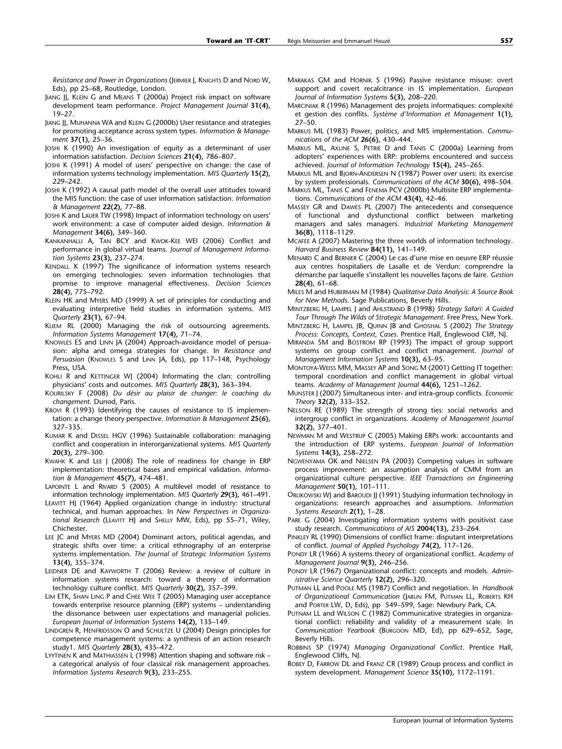Resistance and Power in Organizations (JERMIER J, KNIGHTS D and NORD W, Eds), pp 25–68, Routledge, London.

- JIANG JJ, KLEIN G and MEANS T (2000a) Project risk impact on software development team performance. Project Management Journal 31(4), 19–27.
- JIANG JJ, MUHANNA WA and KLEIN G (2000b) User resistance and strategies for promoting acceptance across system types. Information & Management 37(1), 25–36.
- JOSHI K (1990) An investigation of equity as a determinant of user information satisfaction. Decision Sciences 21(4), 786–807.
- JOSHI K (1991) A model of users' perspective on change: the case of information systems technology implementation. MIS Quarterly 15(2), 229–242.
- JOSHI K (1992) A causal path model of the overall user attitudes toward the MIS function: the case of user information satisfaction. Information & Management 22(2), 77–88.
- JOSHI K and LAUER TW (1998) Impact of information technology on users' work environment: a case of computer aided design. Information & Management 34(6), 349–360.
- KANKANHALLI A, TAN BCY and KWOK-KEE WEI (2006) Conflict and performance in global virtual teams. Journal of Management Information Systems 23(3), 237–274.
- KENDALL K (1997) The significance of information systems research on emerging technologies: seven information technologies that promise to improve managerial effectiveness. Decision Sciences 28(4), 775–792.
- KLEIN HK and MYERS MD (1999) A set of principles for conducting and evaluating interpretive field studies in information systems. MIS Quarterly 23(1), 67–94.
- KLIEM RL (2000) Managing the risk of outsourcing agreements. Information Systems Management 17(4), 71–74.
- KNOWLES ES and LINN JA (2004) Approach-avoidance model of persuasion: alpha and omega strategies for change. In Resistance and Persuasion (KNOWLES S and LINN JA, Eds), pp 117-148, Psychology Press, USA.
- KOHLI R and KETTINGER WJ (2004) Informating the clan: controlling physicians' costs and outcomes. MIS Quarterly 28(3), 363–394.
- KOURILSKY F (2008) Du désir au plaisir de changer: le coaching du changement. Dunod, Paris.
- KROVI R (1993) Identifying the causes of resistance to IS implementation: a change theory perspective. Information & Management 25(6), 327–335.
- KUMAR K and DISSEL HGV (1996) Sustainable collaboration: managing conflict and cooperation in interorganizational systems. MIS Quarterly 20(3), 279–300.
- KWAHK K and LEE J (2008) The role of readiness for change in ERP implementation: theoretical bases and empirical validation. Information & Management 45(7), 474–481.
- LAPOINTE L and RIVARD S (2005) A multilevel model of resistance to information technology implementation. MIS Quarterly 29(3), 461–491.
- LEAVITT HJ (1964) Applied organization change in industry: structural technical, and human approaches. In New Perspectives in Organizational Research (LEAVITT HJ and SHELLY MW, Eds), pp 55–71, Wiley, Chichester.
- LEE JC and MYERS MD (2004) Dominant actors, political agendas, and strategic shifts over time: a critical ethnography of an enterprise systems implementation. The Journal of Strategic Information Systems 13(4), 355–374.
- LEIDNER DE and KAYWORTH T (2006) Review: a review of culture in information systems research: toward a theory of information technology culture conflict. MIS Quarterly 30(2), 357–399.
- LIM ETK, SHAN LING P and CHEE WEE T (2005) Managing user acceptance towards enterprise resource planning (ERP) systems – understanding the dissonance between user expectations and managerial policies. European Journal of Information Systems 14(2), 135–149.
- LINDGREN R, HENFRIDSSON O and SCHULTZE U (2004) Design principles for competence management systems: a synthesis of an action research study1. MIS Quarterly 28(3), 435–472.
- LYYTINEN K and MATHIASSEN L (1998) Attention shaping and software risk a categorical analysis of four classical risk management approaches. Information Systems Research 9(3), 233–255.
- MARAKAS GM and HORNIK S (1996) Passive resistance misuse: overt support and covert recalcitrance in IS implementation. European Journal of Information Systems 5(3), 208–220.
- MARCINIAK R (1996) Management des projets informatiques: complexité et gestion des conflits. Système d'Information et Management 1(1), 27–50.
- MARKUS ML (1983) Power, politics, and MIS implementation. Communications of the ACM 26(6), 430–444.
- MARKUS ML, AXLINE S, PETRIE D and TANIS C (2000a) Learning from adopters' experiences with ERP: problems encountered and success achieved. Journal of Information Technology 15(4), 245–265.
- MARKUS ML and BJORN-ANDERSEN N (1987) Power over users: its exercise by system professionals. Communications of the ACM 30(6), 498–504. MARKUS ML, TANIS C and FENEMA PCV (2000b) Multisite ERP implementa-
- tions. Communications of the ACM 43(4), 42–46. MASSEY GR and DAWES PL (2007) The antecedents and consequence of functional and dysfunctional conflict between marketing managers and sales managers. Industrial Marketing Management
- 36(8), 1118–1129. MCAFEE A (2007) Mastering the three worlds of information technology. Harvard Business Review 84(11), 141–149.
- MENARD C and BERNIER C (2004) Le cas d'une mise en oeuvre ERP réussie aux centres hospitaliers de Lasalle et de Verdun: comprendre la démarche par laquelle s'installent les nouvelles façons de faire. Gestion 28(4), 61–68.
- MILES M and HUBERMAN M (1984) Qualitative Data Analysis: A Source Book for New Methods. Sage Publications, Beverly Hills.
- MINTZBERG H, LAMPEL J and AHLSTRAND B (1998) Strategy Safari: A Guided Tour Through The Wilds of Strategic Management. Free Press, New York.
- MINTZBERG H, LAMPEL JB, QUINN JB and GHOSHAL S (2002) The Strategy Process: Concepts, Context, Cases. Prentice Hall, Englewood Cliff, NJ.
- MIRANDA SM and BOSTROM RP (1993) The impact of group support systems on group conflict and conflict management. Journal of Management Information Systems 10(3), 63–95.
- MONTOYA-WEISS MM, MASSEY AP and SONG M (2001) Getting IT together: temporal coordination and conflict management in global virtual teams. Academy of Management Journal 44(6), 1251–1262.
- MUNSTER J (2007) Simultaneous inter- and intra-group conflicts. Economic Theory 32(2), 333–352.
- NELSON RE (1989) The strength of strong ties: social networks and intergroup conflict in organizations. Academy of Management Journal 32(2), 377–401.
- NEWMAN M and WESTRUP C (2005) Making ERPs work: accountants and the introduction of ERP systems. European Journal of Information Systems 14(3), 258–272.
- NGWENYAMA OK and NIELSEN PA (2003) Competing values in software process improvement: an assumption analysis of CMM from an organizational culture perspective. IEEE Transactions on Engineering Management 50(1), 101–111.
- ORLIKOWSKI WJ and BAROUDI JJ (1991) Studying information technology in organizations: research approaches and assumptions. Information Systems Research 2(1), 1–28.
- PARE G (2004) Investigating information systems with positivist case study research. Communications of AIS 2004(13), 233–264.
- PINKLEY RL (1990) Dimensions of conflict frame: disputant interpretations of conflict. Journal of Applied Psychology 74(2), 117–126.
- PONDY LR (1966) A systems theory of organizational conflict. Academy of Management Journal 9(3), 246–256.
- PONDY LR (1967) Organizational conflict: concepts and models. Administrative Science Quarterly 12(2), 296–320.
- PUTMAN LL and POOLE MS (1987) Conflict and negotiation. In Handbook of Organizational Communication (JABLIN FM, PUTMAN LL, ROBERTS KH and PORTER LW, D, Eds), pp 549–599, Sage: Newbury Park, CA.
- PUTNAM LL and WILSON C (1982) Communicative strategies in organizational conflict: reliability and validity of a measurement scale. In Communication Yearbook (BURGOON MD, Ed), pp 629–652, Sage, Beverly Hills.
- ROBBINS SP (1974) Managing Organizational Conflict. Prentice Hall, Englewood Cliffs, NJ.
- ROBEY D, FARROW DL and FRANZ CR (1989) Group process and conflict in system development. Management Science 35(10), 1172–1191.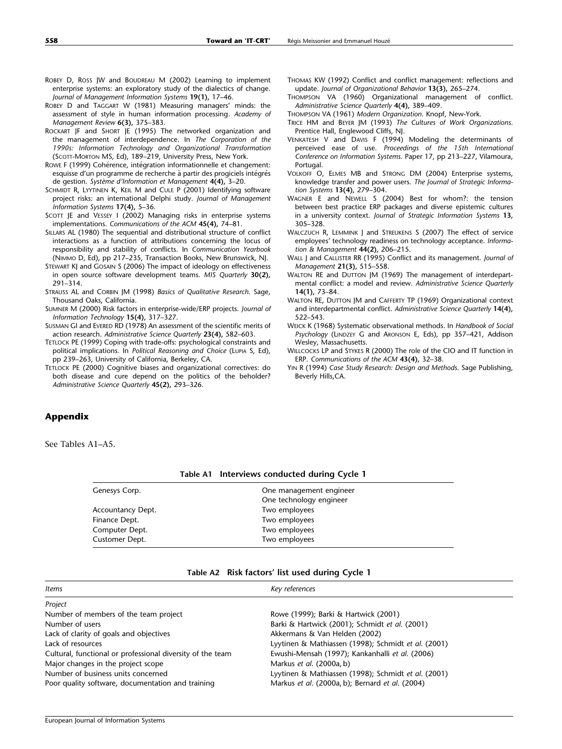- ROBEY D, ROSS JW and BOUDREAU M (2002) Learning to implement enterprise systems: an exploratory study of the dialectics of change. Journal of Management Information Systems 19(1), 17–46.
- ROBEY D and TAGGART W (1981) Measuring managers' minds: the assessment of style in human information processing. Academy of Management Review 6(3), 375–383.
- ROCKART JF and SHORT JE (1995) The networked organization and the management of interdependence. In The Corporation of the 1990s: Information Technology and Organizational Transformation (SCOTT-MORTON MS, Ed), 189–219, University Press, New York.
- ROWE F (1999) Cohérence, intégration informationnelle et changement: esquisse d'un programme de recherche à partir des progiciels intégrés de gestion. Système d'Information et Management 4(4), 3–20.
- SCHMIDT R, LYYTINEN K, KEIL M and CULE P (2001) Identifying software project risks: an international Delphi study. Journal of Management Information Systems 17(4), 5–36.
- SCOTT JE and VESSEY I (2002) Managing risks in enterprise systems implementations. Communications of the ACM 45(4), 74–81.
- SILLARS AL (1980) The sequential and distributional structure of conflict interactions as a function of attributions concerning the locus of responsibility and stability of conflicts. In Communication Yearbook (NIMMO D, Ed), pp 217–235, Transaction Books, New Brunswick, NJ.
- STEWART KJ and GOSAIN S (2006) The impact of ideology on effectiveness in open source software development teams. MIS Quarterly 30(2), 291–314.
- STRAUSS AL and CORBIN JM (1998) Basics of Qualitative Research. Sage, Thousand Oaks, California.
- SUMNER M (2000) Risk factors in enterprise-wide/ERP projects. Journal of Information Technology 15(4), 317–327.
- SUSMAN GI and EVERED RD (1978) An assessment of the scientific merits of action research. Administrative Science Quarterly 23(4), 582–603.
- TETLOCK PE (1999) Coping with trade-offs: psychological constraints and political implications. In Political Reasoning and Choice (LUPIA S, Ed), pp 239–263, University of California, Berkeley, CA.
- TETLOCK PE (2000) Cognitive biases and organizational correctives: do both disease and cure depend on the politics of the beholder? Administrative Science Quarterly 45(2), 293–326.
- THOMAS KW (1992) Conflict and conflict management: reflections and update. Journal of Organizational Behavior 13(3), 265–274.
- THOMPSON VA (1960) Organizational management of conflict. Administrative Science Quarterly 4(4), 389–409.
- THOMPSON VA (1961) Modern Organization. Knopf, New-York.
- TRICE HM and BEYER JM (1993) The Cultures of Work Organizations. Prentice Hall, Englewood Cliffs, NJ.
- VENKATESH V and DAVIS F (1994) Modeling the determinants of perceived ease of use. Proceedings of the 15th International Conference on Information Systems. Paper 17, pp 213–227, Vilamoura, Portugal.
- VOLKOFF O, ELMES MB and STRONG DM (2004) Enterprise systems, knowledge transfer and power users. The Journal of Strategic Information Systems 13(4), 279–304.
- WAGNER E and NEWELL S (2004) Best for whom?: the tension between best practice ERP packages and diverse epistemic cultures in a university context. Journal of Strategic Information Systems 13, 305–328.
- WALCZUCH R, LEMMINK J and STREUKENS S (2007) The effect of service employees' technology readiness on technology acceptance. Information & Management 44(2), 206–215.
- WALL I and CALLISTER RR (1995) Conflict and its management. Journal of Management 21(3), 515–558.
- WALTON RE and DUTTON JM (1969) The management of interdepartmental conflict: a model and review. Administrative Science Quarterly 14(1), 73–84.
- WALTON RE, DUTTON JM and CAFFERTY TP (1969) Organizational context and interdepartmental conflict. Administrative Science Quarterly 14(4), 522–543.
- WEICK K (1968) Systematic observational methods. In Handbook of Social Psychology (LINDZEY G and ARONSON E, Eds), pp 357-421, Addison Wesley, Massachusetts.
- WILLCOCKS LP and STYKES R (2000) The role of the CIO and IT function in ERP. Communications of the ACM 43(4), 32–38.
- YIN R (1994) Case Study Research: Design and Methods. Sage Publishing, Beverly Hills,CA.

## Appendix

See Tables A1–A5.

#### Table A1 Interviews conducted during Cycle 1

| Genesys Corp.     | One management engineer<br>One technology engineer |  |
|-------------------|----------------------------------------------------|--|
| Accountancy Dept. | Two employees                                      |  |
| Finance Dept.     | Two employees                                      |  |
| Computer Dept.    | Two employees                                      |  |
| Customer Dept.    | Two employees                                      |  |
|                   |                                                    |  |

#### Table A2 Risk factors' list used during Cycle 1

| Items                                                      | Key references                                      |
|------------------------------------------------------------|-----------------------------------------------------|
| Project                                                    |                                                     |
| Number of members of the team project                      | Rowe (1999); Barki & Hartwick (2001)                |
| Number of users                                            | Barki & Hartwick (2001); Schmidt et al. (2001)      |
| Lack of clarity of goals and objectives                    | Akkermans & Van Helden (2002)                       |
| Lack of resources                                          | Lyytinen & Mathiassen (1998); Schmidt et al. (2001) |
| Cultural, functional or professional diversity of the team | Ewushi-Mensah (1997); Kankanhalli et al. (2006)     |
| Major changes in the project scope                         | Markus et al. (2000a, b)                            |
| Number of business units concerned                         | Lyytinen & Mathiassen (1998); Schmidt et al. (2001) |
| Poor quality software, documentation and training          | Markus et al. (2000a, b); Bernard et al. (2004)     |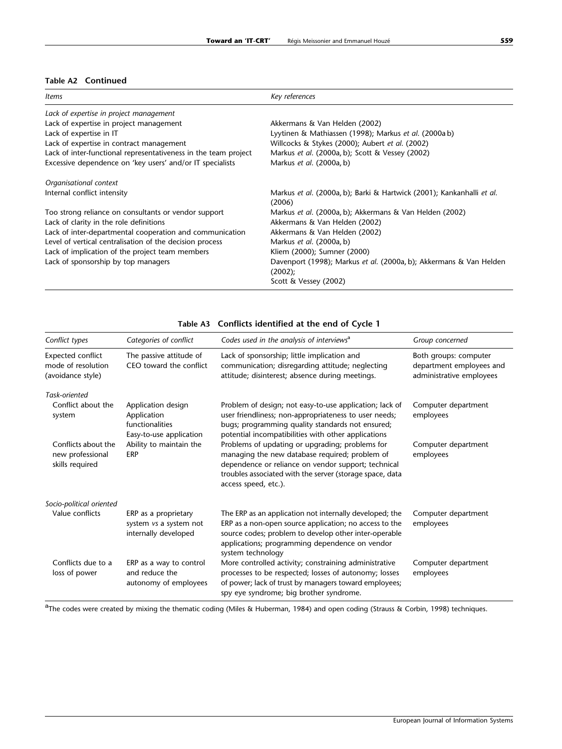## Table A2 Continued

| <b>Items</b>                                                    | Key references                                                                  |
|-----------------------------------------------------------------|---------------------------------------------------------------------------------|
| Lack of expertise in project management                         |                                                                                 |
| Lack of expertise in project management                         | Akkermans & Van Helden (2002)                                                   |
| Lack of expertise in IT                                         | Lyytinen & Mathiassen (1998); Markus et al. (2000ab)                            |
| Lack of expertise in contract management                        | Willcocks & Stykes (2000); Aubert et al. (2002)                                 |
| Lack of inter-functional representativeness in the team project | Markus et al. (2000a, b); Scott & Vessey (2002)                                 |
| Excessive dependence on 'key users' and/or IT specialists       | Markus et al. (2000a, b)                                                        |
| Organisational context                                          |                                                                                 |
| Internal conflict intensity                                     | Markus et al. (2000a, b); Barki & Hartwick (2001); Kankanhalli et al.<br>(2006) |
| Too strong reliance on consultants or vendor support            | Markus et al. (2000a, b); Akkermans & Van Helden (2002)                         |
| Lack of clarity in the role definitions                         | Akkermans & Van Helden (2002)                                                   |
| Lack of inter-departmental cooperation and communication        | Akkermans & Van Helden (2002)                                                   |
| Level of vertical centralisation of the decision process        | Markus et al. (2000a, b)                                                        |
| Lack of implication of the project team members                 | Kliem (2000); Sumner (2000)                                                     |
| Lack of sponsorship by top managers                             | Davenport (1998); Markus et al. (2000a, b); Akkermans & Van Helden              |
|                                                                 | (2002);                                                                         |
|                                                                 | Scott & Vessey (2002)                                                           |

| Conflict types                                                      | Categories of conflict                                                          | Codes used in the analysis of interviews <sup>a</sup>                                                                                                                                                                                             | Group concerned                                                               |
|---------------------------------------------------------------------|---------------------------------------------------------------------------------|---------------------------------------------------------------------------------------------------------------------------------------------------------------------------------------------------------------------------------------------------|-------------------------------------------------------------------------------|
| <b>Expected conflict</b><br>mode of resolution<br>(avoidance style) | The passive attitude of<br>CEO toward the conflict                              | Lack of sponsorship; little implication and<br>communication; disregarding attitude; neglecting<br>attitude; disinterest; absence during meetings.                                                                                                | Both groups: computer<br>department employees and<br>administrative employees |
| Task-oriented                                                       |                                                                                 |                                                                                                                                                                                                                                                   |                                                                               |
| Conflict about the<br>system                                        | Application design<br>Application<br>functionalities<br>Easy-to-use application | Problem of design; not easy-to-use application; lack of<br>user friendliness; non-appropriateness to user needs;<br>bugs; programming quality standards not ensured;<br>potential incompatibilities with other applications                       | Computer department<br>employees                                              |
| Conflicts about the<br>new professional<br>skills required          | Ability to maintain the<br><b>ERP</b>                                           | Problems of updating or upgrading; problems for<br>managing the new database required; problem of<br>dependence or reliance on vendor support; technical<br>troubles associated with the server (storage space, data<br>access speed, etc.).      | Computer department<br>employees                                              |
| Socio-political oriented                                            |                                                                                 |                                                                                                                                                                                                                                                   |                                                                               |
| Value conflicts                                                     | ERP as a proprietary<br>system vs a system not<br>internally developed          | The ERP as an application not internally developed; the<br>ERP as a non-open source application; no access to the<br>source codes; problem to develop other inter-operable<br>applications; programming dependence on vendor<br>system technology | Computer department<br>employees                                              |
| Conflicts due to a<br>loss of power                                 | ERP as a way to control<br>and reduce the<br>autonomy of employees              | More controlled activity; constraining administrative<br>processes to be respected; losses of autonomy; losses<br>of power; lack of trust by managers toward employees;<br>spy eye syndrome; big brother syndrome.                                | Computer department<br>employees                                              |

## Table A3 Conflicts identified at the end of Cycle 1

<sup>a</sup>The codes were created by mixing the thematic coding (Miles & Huberman, 1984) and open coding (Strauss & Corbin, 1998) techniques.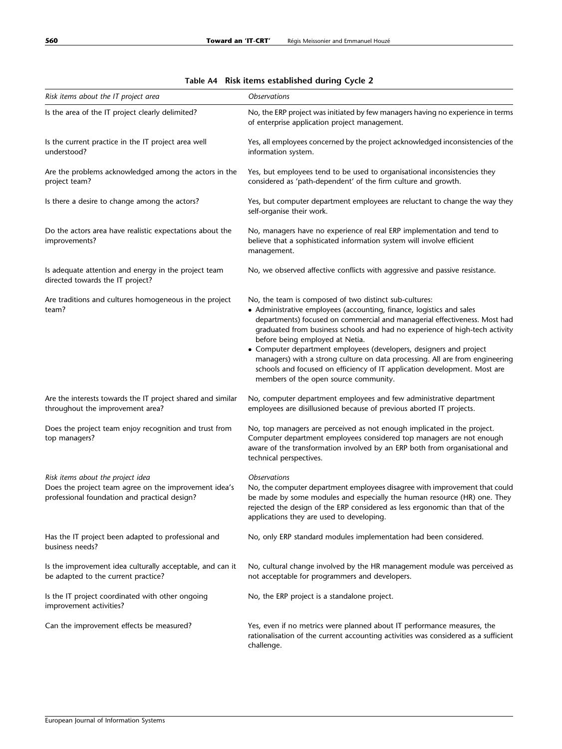| Risk items about the IT project area                                                                                                        | <b>Observations</b>                                                                                                                                                                                                                                                                                                                                                                                                                                                                                                                                                                                       |
|---------------------------------------------------------------------------------------------------------------------------------------------|-----------------------------------------------------------------------------------------------------------------------------------------------------------------------------------------------------------------------------------------------------------------------------------------------------------------------------------------------------------------------------------------------------------------------------------------------------------------------------------------------------------------------------------------------------------------------------------------------------------|
| Is the area of the IT project clearly delimited?                                                                                            | No, the ERP project was initiated by few managers having no experience in terms<br>of enterprise application project management.                                                                                                                                                                                                                                                                                                                                                                                                                                                                          |
| Is the current practice in the IT project area well<br>understood?                                                                          | Yes, all employees concerned by the project acknowledged inconsistencies of the<br>information system.                                                                                                                                                                                                                                                                                                                                                                                                                                                                                                    |
| Are the problems acknowledged among the actors in the<br>project team?                                                                      | Yes, but employees tend to be used to organisational inconsistencies they<br>considered as 'path-dependent' of the firm culture and growth.                                                                                                                                                                                                                                                                                                                                                                                                                                                               |
| Is there a desire to change among the actors?                                                                                               | Yes, but computer department employees are reluctant to change the way they<br>self-organise their work.                                                                                                                                                                                                                                                                                                                                                                                                                                                                                                  |
| Do the actors area have realistic expectations about the<br>improvements?                                                                   | No, managers have no experience of real ERP implementation and tend to<br>believe that a sophisticated information system will involve efficient<br>management.                                                                                                                                                                                                                                                                                                                                                                                                                                           |
| Is adequate attention and energy in the project team<br>directed towards the IT project?                                                    | No, we observed affective conflicts with aggressive and passive resistance.                                                                                                                                                                                                                                                                                                                                                                                                                                                                                                                               |
| Are traditions and cultures homogeneous in the project<br>team?                                                                             | No, the team is composed of two distinct sub-cultures:<br>• Administrative employees (accounting, finance, logistics and sales<br>departments) focused on commercial and managerial effectiveness. Most had<br>graduated from business schools and had no experience of high-tech activity<br>before being employed at Netia.<br>• Computer department employees (developers, designers and project<br>managers) with a strong culture on data processing. All are from engineering<br>schools and focused on efficiency of IT application development. Most are<br>members of the open source community. |
| Are the interests towards the IT project shared and similar<br>throughout the improvement area?                                             | No, computer department employees and few administrative department<br>employees are disillusioned because of previous aborted IT projects.                                                                                                                                                                                                                                                                                                                                                                                                                                                               |
| Does the project team enjoy recognition and trust from<br>top managers?                                                                     | No, top managers are perceived as not enough implicated in the project.<br>Computer department employees considered top managers are not enough<br>aware of the transformation involved by an ERP both from organisational and<br>technical perspectives.                                                                                                                                                                                                                                                                                                                                                 |
| Risk items about the project idea<br>Does the project team agree on the improvement idea's<br>professional foundation and practical design? | <b>Observations</b><br>No, the computer department employees disagree with improvement that could<br>be made by some modules and especially the human resource (HR) one. They<br>rejected the design of the ERP considered as less ergonomic than that of the<br>applications they are used to developing.                                                                                                                                                                                                                                                                                                |
| Has the IT project been adapted to professional and<br>business needs?                                                                      | No, only ERP standard modules implementation had been considered.                                                                                                                                                                                                                                                                                                                                                                                                                                                                                                                                         |
| Is the improvement idea culturally acceptable, and can it<br>be adapted to the current practice?                                            | No, cultural change involved by the HR management module was perceived as<br>not acceptable for programmers and developers.                                                                                                                                                                                                                                                                                                                                                                                                                                                                               |
| Is the IT project coordinated with other ongoing<br>improvement activities?                                                                 | No, the ERP project is a standalone project.                                                                                                                                                                                                                                                                                                                                                                                                                                                                                                                                                              |
| Can the improvement effects be measured?                                                                                                    | Yes, even if no metrics were planned about IT performance measures, the<br>rationalisation of the current accounting activities was considered as a sufficient<br>challenge.                                                                                                                                                                                                                                                                                                                                                                                                                              |

## Table A4 Risk items established during Cycle 2